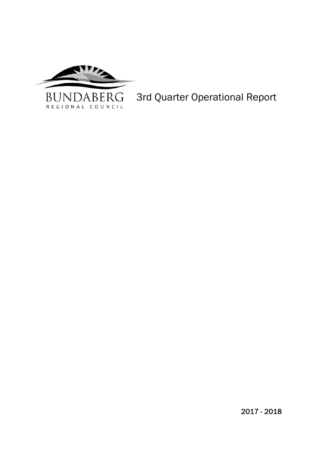

 $\overline{ }$ 3rd Quarter Operational Report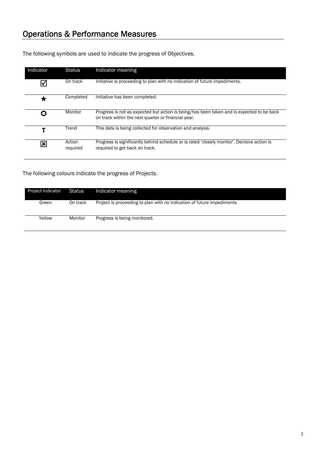The following symbols are used to indicate the progress of Objectives.

| Indicator | Status             | Indicator meaning                                                                                                                                |
|-----------|--------------------|--------------------------------------------------------------------------------------------------------------------------------------------------|
|           | On track           | Initiative is proceeding to plan with no indication of future impediments.                                                                       |
|           | Completed          | Initiative has been completed.                                                                                                                   |
|           | Monitor            | Progress is not as expected but action is being/has been taken and is expected to be back<br>on track within the next quarter or financial year. |
|           | Trend              | This data is being collected for observation and analysis.                                                                                       |
|           | Action<br>required | Progress is significantly behind schedule or is rated 'closely monitor'. Decisive action is<br>required to get back on track.                    |

The following colours indicate the progress of Projects.

| Project Indicator | <b>Status</b> | Indicator meaning                                                       |
|-------------------|---------------|-------------------------------------------------------------------------|
| Green             | On track      | Project is proceeding to plan with no indication of future impediments. |
| Yellow            | Monitor       | Progress is being monitored.                                            |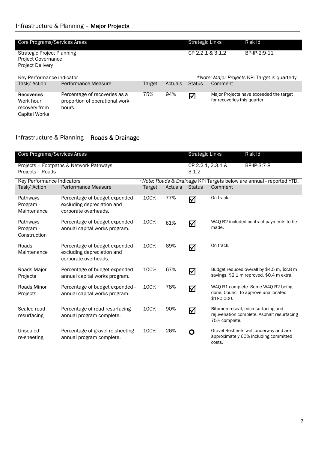| Core Programs/Services Areas                                                       |                                                                           |        |                  | <b>Strategic Links</b> | Risk Id.                                                                |
|------------------------------------------------------------------------------------|---------------------------------------------------------------------------|--------|------------------|------------------------|-------------------------------------------------------------------------|
| Strategic Project Planning<br><b>Project Governance</b><br><b>Project Delivery</b> |                                                                           |        | CP 2.2.1 & 3.1.2 | BP-IP-2:9-11           |                                                                         |
| Key Performance indicator                                                          |                                                                           |        |                  |                        | *Note: Major Projects KPI Target is quarterly.                          |
| Task/Action                                                                        | Performance Measure                                                       | Target | Actuals          | <b>Status</b>          | Comment                                                                 |
| <b>Recoveries</b><br>Work hour<br>recovery from<br>Capital Works                   | Percentage of recoveries as a<br>proportion of operational work<br>hours. | 75%    | 94%              | ☑                      | Major Projects have exceeded the target<br>for recoveries this quarter. |

## Infrastructure & Planning – Roads & Drainage

| Core Programs/Services Areas          |                                                                                       |               |         | <b>Strategic Links</b>     |               | Risk Id.                                                                                |
|---------------------------------------|---------------------------------------------------------------------------------------|---------------|---------|----------------------------|---------------|-----------------------------------------------------------------------------------------|
| Projects - Roads                      | Projects - Footpaths & Network Pathways                                               |               |         | CP 2.2.1, 2.3.1 &<br>3.1.2 |               | BP-IP-3:7-8                                                                             |
| Key Performance Indicators            |                                                                                       |               |         |                            |               | *Note: Roads & Drainage KPI Targets below are annual - reported YTD.                    |
| Task/ Action                          | Performance Measure                                                                   | <b>Target</b> | Actuals | <b>Status</b>              | Comment       |                                                                                         |
| Pathways<br>Program -<br>Maintenance  | Percentage of budget expended -<br>excluding depreciation and<br>corporate overheads. | 100%          | 77%     | ☑                          | On track.     |                                                                                         |
| Pathways<br>Program -<br>Construction | Percentage of budget expended -<br>annual capital works program.                      | 100%          | 61%     | ☑                          | made.         | W4Q R2 included contract payments to be                                                 |
| Roads<br>Maintenance                  | Percentage of budget expended -<br>excluding depreciation and<br>corporate overheads. | 100%          | 69%     | ☑                          | On track.     |                                                                                         |
| Roads Major<br>Projects               | Percentage of budget expended -<br>annual capital works program.                      | 100%          | 67%     | ☑                          |               | Budget reduced overall by \$4.5 m, \$2.8 m<br>savings, \$2.1 m reproved, \$0.4 m extra. |
| Roads Minor<br>Projects               | Percentage of budget expended -<br>annual capital works program.                      | 100%          | 78%     | ☑                          | \$180,000.    | W4Q R1 complete. Some W4Q R2 being<br>done. Council to approve unallocated              |
| Sealed road<br>resurfacing            | Percentage of road resurfacing<br>annual program complete.                            | 100%          | 90%     | ☑                          | 75% complete. | Bitumen reseal, microsurfacing and<br>rejuvenation complete. Asphalt resurfacing        |
| Unsealed<br>re-sheeting               | Percentage of gravel re-sheeting<br>annual program complete.                          | 100%          | 26%     | O                          | costs.        | Gravel Resheets well underway and are<br>approximately 60% including committed          |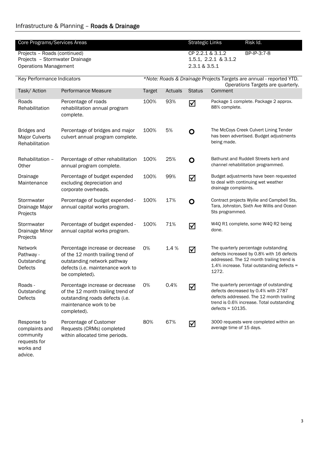| Core Programs/Services Areas                                            |                                                                                                                                                            |               |                  | Risk Id.<br><b>Strategic Links</b> |                                                                                                                                                                                               |  |
|-------------------------------------------------------------------------|------------------------------------------------------------------------------------------------------------------------------------------------------------|---------------|------------------|------------------------------------|-----------------------------------------------------------------------------------------------------------------------------------------------------------------------------------------------|--|
| Projects - Roads (continued)                                            |                                                                                                                                                            |               | CP 2.2.1 & 3.1.2 | BP-IP-3:7-8                        |                                                                                                                                                                                               |  |
| Projects - Stormwater Drainage                                          |                                                                                                                                                            |               |                  |                                    | 1.5.1, 2.2.1 & 3.1.2                                                                                                                                                                          |  |
| <b>Operations Management</b>                                            |                                                                                                                                                            |               |                  | 2.3.1 & 3.5.1                      |                                                                                                                                                                                               |  |
| Key Performance Indicators                                              |                                                                                                                                                            |               |                  |                                    | *Note: Roads & Drainage Projects Targets are annual - reported YTD.<br>Operations Targets are quarterly.                                                                                      |  |
| Task/ Action                                                            | Performance Measure                                                                                                                                        | <b>Target</b> | Actuals          | <b>Status</b>                      | Comment                                                                                                                                                                                       |  |
| Roads<br>Rehabilitation                                                 | Percentage of roads<br>rehabilitation annual program<br>complete.                                                                                          | 100%          | 93%              | ☑                                  | Package 1 complete. Package 2 approx.<br>88% complete.                                                                                                                                        |  |
| Bridges and<br><b>Major Culverts</b><br>Rehabilitation                  | Percentage of bridges and major<br>culvert annual program complete.                                                                                        | 100%          | 5%               | O                                  | The McCoys Creek Culvert Lining Tender<br>has been advertised. Budget adjustments<br>being made.                                                                                              |  |
| Rehabilitation -<br>Other                                               | Percentage of other rehabilitation<br>annual program complete.                                                                                             | 100%          | 25%              | O                                  | Bathurst and Ruddell Streets kerb and<br>channel rehabilitation programmed.                                                                                                                   |  |
| Drainage<br>Maintenance                                                 | Percentage of budget expended<br>excluding depreciation and<br>corporate overheads.                                                                        | 100%          | 99%              | ☑                                  | Budget adjustments have been requested<br>to deal with continuing wet weather<br>drainage complaints.                                                                                         |  |
| Stormwater<br>Drainage Major<br>Projects                                | Percentage of budget expended -<br>annual capital works program.                                                                                           | 100%          | 17%              | O                                  | Contract projects Wyilie and Campbell Sts,<br>Tara, Johnston, Sixth Ave Willis and Ocean<br>Sts programmed.                                                                                   |  |
| Stormwater<br>Drainage Minor<br>Projects                                | Percentage of budget expended -<br>annual capital works program.                                                                                           | 100%          | 71%              | ☑                                  | W4Q R1 complete, some W4Q R2 being<br>done.                                                                                                                                                   |  |
| Network<br>Pathway -<br>Outstanding<br>Defects                          | Percentage increase or decrease<br>of the 12 month trailing trend of<br>outstanding network pathway<br>defects (i.e. maintenance work to<br>be completed). | 0%            | 1.4%             | $\triangledown$                    | The quarterly percentage outstanding<br>defects increased by 0.8% with 16 defects<br>addressed. The 12 month trailing trend is<br>1.4% increase. Total outstanding defects =<br>1272.         |  |
| Roads -<br>Outstanding<br>Defects                                       | Percentage increase or decrease<br>of the 12 month trailing trend of<br>outstanding roads defects (i.e.<br>maintenance work to be<br>completed).           | 0%            | 0.4%             | ☑                                  | The quarterly percentage of outstanding<br>defects decreased by 0.4% with 2787<br>defects addressed. The 12 month trailing<br>trend is 0.6% increase. Total outstanding<br>$defects = 10135.$ |  |
| Response to<br>complaints and<br>community<br>requests for<br>works and | Percentage of Customer<br>Requests (CRMs) completed<br>within allocated time periods.                                                                      | 80%           | 67%              | ☑                                  | 3000 requests were completed within an<br>average time of 15 days.                                                                                                                            |  |

advice.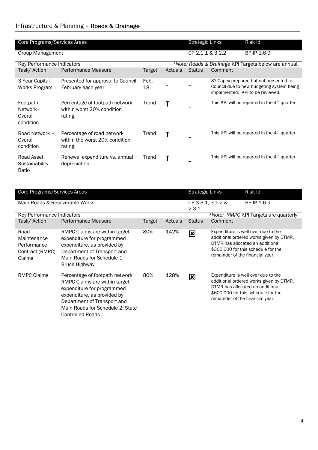| Core Programs/Services Areas |                                               |                                                                         |            |         | <b>Strategic Links</b> |         | Risk Id.                                                                                                                |
|------------------------------|-----------------------------------------------|-------------------------------------------------------------------------|------------|---------|------------------------|---------|-------------------------------------------------------------------------------------------------------------------------|
|                              | Group Management                              |                                                                         |            |         | CP 2.1.1 & 3.2.2       |         | BP-IP-1:6-9                                                                                                             |
|                              | Key Performance Indicators                    |                                                                         |            |         |                        |         | *Note: Roads & Drainage KPI Targets below are annual.                                                                   |
|                              | Task/Action                                   | Performance Measure                                                     | Target     | Actuals | <b>Status</b>          | Comment |                                                                                                                         |
|                              | 3 Year Capital<br>Works Program               | Presented for approval to Council<br>February each year.                | Feb.<br>18 |         |                        |         | 3Y Capex prepared but not presented to<br>Council due to new budgeting system being<br>implemented. KPI to be reviewed. |
|                              | Footpath<br>Network -<br>Overall<br>condition | Percentage of footpath network<br>within worst 20% condition<br>rating. | Trend      | т       |                        |         | This KPI will be reported in the 4 <sup>th</sup> quarter.                                                               |
|                              | Road Network -<br>Overall<br>condition        | Percentage of road network<br>within the worst 20% condition<br>rating. | Trend      |         |                        |         | This KPI will be reported in the 4 <sup>th</sup> quarter.                                                               |
|                              | Road Asset<br>Sustainability<br>Ratio         | Renewal expenditure vs. annual<br>depreciation.                         | Trend      | Т       |                        |         | This KPI will be reported in the 4 <sup>th</sup> quarter.                                                               |

| Core Programs/Services Areas                                    |                                                                                                                                                                                                                            |        |         |                            | <b>Strategic Links</b>           | Risk Id.                                                                                                                                                  |
|-----------------------------------------------------------------|----------------------------------------------------------------------------------------------------------------------------------------------------------------------------------------------------------------------------|--------|---------|----------------------------|----------------------------------|-----------------------------------------------------------------------------------------------------------------------------------------------------------|
| Main Roads & Recoverable Works                                  |                                                                                                                                                                                                                            |        |         | CP 3.3.1, 3.1.2 &<br>2.3.1 |                                  | BP-IP-1:6-9                                                                                                                                               |
| Key Performance Indicators                                      |                                                                                                                                                                                                                            |        |         |                            |                                  | *Note: RMPC KPI Targets are quarterly.                                                                                                                    |
| Task/Action                                                     | Performance Measure                                                                                                                                                                                                        | Target | Actuals | <b>Status</b>              | Comment                          |                                                                                                                                                           |
| Road<br>Maintenance<br>Performance<br>Contract (RMPC)<br>Claims | RMPC Claims are within target<br>expenditure for programmed<br>expenditure, as provided by<br>Department of Transport and<br>Main Roads for Schedule 1:<br>Bruce Highway                                                   | 80%    | 142%    | $\mathbf{\overline{x}}$    | remainder of the financial year. | Expenditure is well over due to the<br>additional ordered works given by DTMR.<br>DTMR has allocated an additional<br>\$300,000 for this schedule for the |
| <b>RMPC Claims</b>                                              | Percentage of footpath network<br>RMPC Claims are within target<br>expenditure for programmed<br>expenditure, as provided by<br>Department of Transport and<br>Main Roads for Schedule 2: State<br><b>Controlled Roads</b> | 80%    | 128%    | 図                          | remainder of the financial year. | Expenditure is well over due to the<br>additional ordered works given by DTMR.<br>DTMR has allocated an additional<br>\$600,000 for this schedule for the |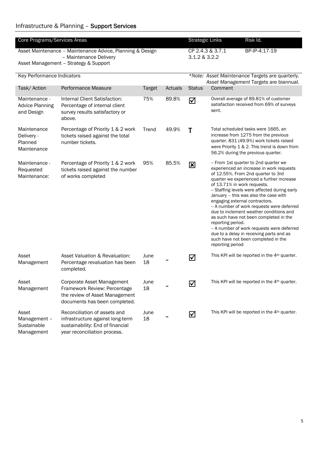| Core Programs/Services Areas                          |                                                                                                                                      | Risk Id.<br><b>Strategic Links</b> |               |               |                                                                                                                                                                                                                                                                                                                                                                                                                                                                                                                                                                                                                                             |  |
|-------------------------------------------------------|--------------------------------------------------------------------------------------------------------------------------------------|------------------------------------|---------------|---------------|---------------------------------------------------------------------------------------------------------------------------------------------------------------------------------------------------------------------------------------------------------------------------------------------------------------------------------------------------------------------------------------------------------------------------------------------------------------------------------------------------------------------------------------------------------------------------------------------------------------------------------------------|--|
|                                                       | Asset Maintenance - Maintenance Advice, Planning & Design<br>- Maintenance Delivery                                                  | CP 2.4.3 & 3.7.1<br>3.1.2 & 3.2.2  | BP-IP-4:17-19 |               |                                                                                                                                                                                                                                                                                                                                                                                                                                                                                                                                                                                                                                             |  |
|                                                       | Asset Management - Strategy & Support                                                                                                |                                    |               |               |                                                                                                                                                                                                                                                                                                                                                                                                                                                                                                                                                                                                                                             |  |
| Key Performance Indicators                            |                                                                                                                                      |                                    |               |               | *Note: Asset Maintenance Targets are quarterly.<br>Asset Management Targets are biannual.                                                                                                                                                                                                                                                                                                                                                                                                                                                                                                                                                   |  |
| Task/ Action                                          | Performance Measure                                                                                                                  | <b>Target</b>                      | Actuals       | <b>Status</b> | Comment                                                                                                                                                                                                                                                                                                                                                                                                                                                                                                                                                                                                                                     |  |
| Maintenance -<br><b>Advice Planning</b><br>and Design | Internal Client Satisfaction:<br>Percentage of internal client<br>survey results satisfactory or<br>above.                           | 75%                                | 89.8%         | ☑             | Overall average of 89.81% of customer<br>satisfaction received from 69% of surveys<br>sent.                                                                                                                                                                                                                                                                                                                                                                                                                                                                                                                                                 |  |
| Maintenance<br>Delivery -<br>Planned<br>Maintenance   | Percentage of Priority 1 & 2 work<br>tickets raised against the total<br>number tickets.                                             | Trend                              | 49.9%         | Τ             | Total scheduled tasks were 1665, an<br>increase from 1275 from the previous<br>quarter. 831 (49.9%) work tickets raised<br>were Priority 1 & 2. This trend is down from<br>56.2% during the previous quarter.                                                                                                                                                                                                                                                                                                                                                                                                                               |  |
| Maintenance -<br>Requested<br>Maintenance:            | Percentage of Priority 1 & 2 work<br>tickets raised against the number<br>of works completed                                         | 95%                                | 85.5%         | 図             | - From 1st quarter to 2nd quarter we<br>experienced an increase in work requests<br>of 12.55%. From 2nd quarter to 3rd<br>quarter we experienced a further increase<br>of 13.71% in work requests.<br>- Staffing levels were affected during early<br>January - this was also the case with<br>engaging external contractors.<br>-- A number of work requests were deferred<br>due to inclement weather conditions and<br>as such have not been completed in the<br>reporting period.<br>-- A number of work requests were deferred<br>due to a delay in receiving parts and as<br>such have not been completed in the<br>reporting period. |  |
| Asset<br>Management                                   | Asset Valuation & Revaluation:<br>Percentage revaluation has been<br>completed.                                                      | June<br>18                         |               | ☑             | This KPI will be reported in the 4 <sup>th</sup> quarter.                                                                                                                                                                                                                                                                                                                                                                                                                                                                                                                                                                                   |  |
| Asset<br>Management                                   | Corporate Asset Management<br>Framework Review: Percentage<br>the review of Asset Management<br>documents has been completed.        | June<br>18                         |               | ☑             | This KPI will be reported in the 4 <sup>th</sup> quarter.                                                                                                                                                                                                                                                                                                                                                                                                                                                                                                                                                                                   |  |
| Asset<br>Management -<br>Sustainable<br>Management    | Reconciliation of assets and<br>infrastructure against long-term<br>sustainability: End of financial<br>year reconciliation process. | June<br>18                         |               | ☑             | This KPI will be reported in the 4 <sup>th</sup> quarter.                                                                                                                                                                                                                                                                                                                                                                                                                                                                                                                                                                                   |  |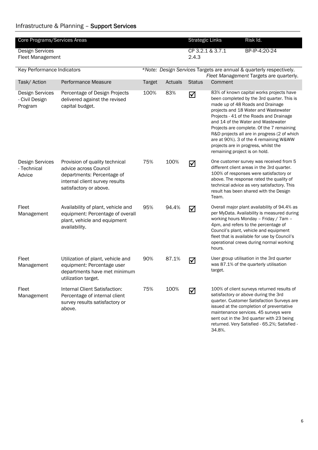#### Infrastructure & Planning – Support Services

| Core Programs/Services Areas                        |                                                                                                                                                   |               |         | <b>Strategic Links</b>    |                               | Risk Id.                                                                                                                                                                                                                                                                                                                                                                                                                           |
|-----------------------------------------------------|---------------------------------------------------------------------------------------------------------------------------------------------------|---------------|---------|---------------------------|-------------------------------|------------------------------------------------------------------------------------------------------------------------------------------------------------------------------------------------------------------------------------------------------------------------------------------------------------------------------------------------------------------------------------------------------------------------------------|
| <b>Design Services</b><br>Fleet Management          |                                                                                                                                                   |               |         | CP 3.2.1 & 3.7.1<br>2.4.3 |                               | BP-IP-4:20-24                                                                                                                                                                                                                                                                                                                                                                                                                      |
| Key Performance Indicators                          |                                                                                                                                                   |               |         |                           |                               | *Note: Design Services Targets are annual & quarterly respectively.<br>Fleet Management Targets are quarterly.                                                                                                                                                                                                                                                                                                                     |
| Task/ Action                                        | Performance Measure                                                                                                                               | <b>Target</b> | Actuals | <b>Status</b>             | Comment                       |                                                                                                                                                                                                                                                                                                                                                                                                                                    |
| <b>Design Services</b><br>- Civil Design<br>Program | Percentage of Design Projects<br>delivered against the revised<br>capital budget.                                                                 | 100%          | 83%     | ☑                         | remaining project is on hold. | 83% of known capital works projects have<br>been completed by the 3rd quarter. This is<br>made up of 48 Roads and Drainage<br>projects and 18 Water and Wastewater<br>Projects - 41 of the Roads and Drainage<br>and 14 of the Water and Wastewater<br>Projects are complete. Of the 7 remaining<br>R&D projects all are in progress (2 of which<br>are at 90%). 3 of the 4 remaining W&WW<br>projects are in progress, whilst the |
| <b>Design Services</b><br>- Technical<br>Advice     | Provision of quality technical<br>advice across Council<br>departments: Percentage of<br>internal client survey results<br>satisfactory or above. | 75%           | 100%    | ☑                         | Team.                         | One customer survey was received from 5<br>different client areas in the 3rd quarter.<br>100% of responses were satisfactory or<br>above. The response rated the quality of<br>technical advice as very satisfactory. This<br>result has been shared with the Design                                                                                                                                                               |
| Fleet<br>Management                                 | Availability of plant, vehicle and<br>equipment: Percentage of overall<br>plant, vehicle and equipment<br>availability.                           | 95%           | 94.4%   | ☑                         | hours.                        | Overall major plant availability of 94.4% as<br>per MyData. Availability is measured during<br>working hours Monday - Friday / 7am -<br>4pm, and refers to the percentage of<br>Council's plant, vehicle and equipment<br>fleet that is available for use by Council's<br>operational crews during normal working                                                                                                                  |
| Fleet<br>Management                                 | Utilization of plant, vehicle and<br>equipment: Percentage user<br>departments have met minimum<br>utilization target.                            | 90%           | 87.1%   | ☑                         | target.                       | User group utilisation in the 3rd quarter<br>was 87.1% of the quarterly utilisation                                                                                                                                                                                                                                                                                                                                                |
| Fleet<br>Management                                 | Internal Client Satisfaction:<br>Percentage of internal client<br>survey results satisfactory or<br>above.                                        | 75%           | 100%    | ☑                         | 34.8%.                        | 100% of client surveys returned results of<br>satisfactory or above during the 3rd<br>quarter. Customer Satisfaction Surveys are<br>issued at the completion of preventative<br>maintenance services. 45 surveys were<br>sent out in the 3rd quarter with 23 being<br>returned. Very Satisfied - 65.2%; Satisfied -                                                                                                                |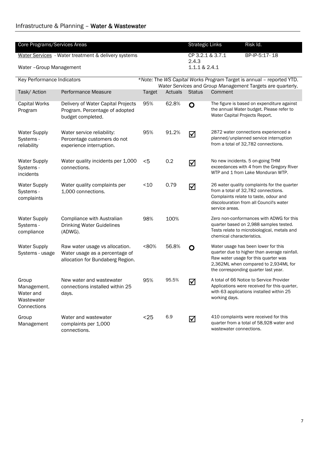| Core Programs/Services Areas                                   |                                                                                                      |               | Risk Id.<br><b>Strategic Links</b> |                        |                                                                                                                                                                                                             |
|----------------------------------------------------------------|------------------------------------------------------------------------------------------------------|---------------|------------------------------------|------------------------|-------------------------------------------------------------------------------------------------------------------------------------------------------------------------------------------------------------|
|                                                                | Water Services - Water treatment & delivery systems                                                  |               |                                    | CP 3.2.1 & 3.7.1       | BP-IP-5:17-18                                                                                                                                                                                               |
| Water - Group Management                                       |                                                                                                      |               |                                    | 2.4.3<br>1.1.1 & 2.4.1 |                                                                                                                                                                                                             |
|                                                                |                                                                                                      |               |                                    |                        |                                                                                                                                                                                                             |
| Key Performance Indicators                                     |                                                                                                      |               |                                    |                        | *Note: The WS Capital Works Program Target is annual - reported YTD.<br>Water Services and Group Management Targets are quarterly.                                                                          |
| Task/ Action                                                   | Performance Measure                                                                                  | <b>Target</b> | Actuals                            | <b>Status</b>          | Comment                                                                                                                                                                                                     |
| Capital Works<br>Program                                       | Delivery of Water Capital Projects<br>Program. Percentage of adopted<br>budget completed.            | 95%           | 62.8%                              | O                      | The figure is based on expenditure against<br>the annual Water budget. Please refer to<br>Water Capital Projects Report.                                                                                    |
| <b>Water Supply</b><br>Systems -<br>reliability                | Water service reliability:<br>Percentage customers do not<br>experience interruption.                | 95%           | 91.2%                              | ☑                      | 2872 water connections experienced a<br>planned/unplanned service interruption<br>from a total of 32,782 connections.                                                                                       |
| <b>Water Supply</b><br>Systems -<br>incidents                  | Water quality incidents per 1,000<br>connections.                                                    | $<$ 5         | 0.2                                | ☑                      | No new incidents. 5 on-going THM<br>exceedances with 4 from the Gregory River<br>WTP and 1 from Lake Monduran WTP.                                                                                          |
| <b>Water Supply</b><br>Systems -<br>complaints                 | Water quality complaints per<br>1,000 connections.                                                   | ~10           | 0.79                               | ☑                      | 26 water quality complaints for the quarter<br>from a total of 32,782 connections.<br>Complaints relate to taste, odour and<br>discolouration from all Council's water<br>service areas.                    |
| <b>Water Supply</b><br>Systems -<br>compliance                 | Compliance with Australian<br><b>Drinking Water Guidelines</b><br>(ADWG).                            | 98%           | 100%                               |                        | Zero non-conformances with ADWG for this<br>quarter based on 2,988 samples tested.<br>Tests relate to microbiological, metals and<br>chemical characteristics.                                              |
| <b>Water Supply</b><br>Systems - usage                         | Raw water usage vs allocation.<br>Water usage as a percentage of<br>allocation for Bundaberg Region. | <80%          | 56.8%                              | O                      | Water usage has been lower for this<br>quarter due to higher than average rainfall.<br>Raw water usage for this quarter was<br>2,362ML when compared to 2,934ML for<br>the corresponding quarter last year. |
| Group<br>Management.<br>Water and<br>Wastewater<br>Connections | New water and wastewater<br>connections installed within 25<br>days.                                 | 95%           | 95.5%                              | ☑                      | A total of 66 Notice to Service Provider<br>Applications were received for this quarter,<br>with 63 applications installed within 25<br>working days.                                                       |
| Group<br>Management                                            | Water and wastewater<br>complaints per 1,000<br>connections.                                         | $25$          | 6.9                                | ☑                      | 410 complaints were received for this<br>quarter from a total of 58,928 water and<br>wastewater connections.                                                                                                |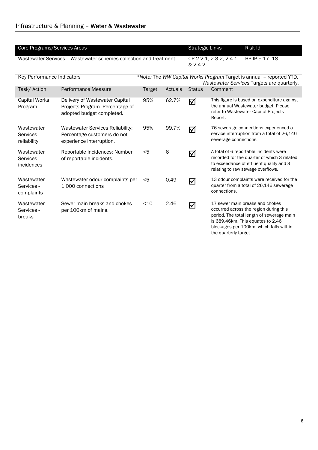| Core Programs/Services Areas            |                                                                                                |               |         | <b>Strategic Links</b>                                                                                             |                        | Risk Id.                                                                                                                                                                                               |
|-----------------------------------------|------------------------------------------------------------------------------------------------|---------------|---------|--------------------------------------------------------------------------------------------------------------------|------------------------|--------------------------------------------------------------------------------------------------------------------------------------------------------------------------------------------------------|
|                                         | Wastewater Services - Wastewater schemes collection and treatment                              |               |         | & 2.4.2                                                                                                            | CP 2.2.1, 2.3.2, 2.4.1 | BP-IP-5:17-18                                                                                                                                                                                          |
| Key Performance Indicators              |                                                                                                |               |         | *Note: The WW Capital Works Program Target is annual - reported YTD.<br>Wastewater Services Targets are quarterly. |                        |                                                                                                                                                                                                        |
| Task/ Action                            | Performance Measure                                                                            | <b>Target</b> | Actuals | <b>Status</b>                                                                                                      | Comment                |                                                                                                                                                                                                        |
| <b>Capital Works</b><br>Program         | Delivery of Wastewater Capital<br>Projects Program. Percentage of<br>adopted budget completed. | 95%           | 62.7%   | ☑                                                                                                                  | Report.                | This figure is based on expenditure against<br>the annual Wastewater budget. Please<br>refer to Wastewater Capital Projects                                                                            |
| Wastewater<br>Services -<br>reliability | Wastewater Services Reliability:<br>Percentage customers do not<br>experience interruption.    | 95%           | 99.7%   | ☑                                                                                                                  | sewerage connections.  | 76 sewerage connections experienced a<br>service interruption from a total of 26,146                                                                                                                   |
| Wastewater<br>Services -<br>incidences  | Reportable Incidences: Number<br>of reportable incidents.                                      | <5            | 6       | ☑                                                                                                                  |                        | A total of 6 reportable incidents were<br>recorded for the quarter of which 3 related<br>to exceedance of effluent quality and 3<br>relating to raw sewage overflows.                                  |
| Wastewater<br>Services -<br>complaints  | Wastewater odour complaints per<br>1,000 connections                                           | <5            | 0.49    | ☑                                                                                                                  | connections.           | 13 odour complaints were received for the<br>quarter from a total of 26,146 sewerage                                                                                                                   |
| Wastewater<br>Services -<br>breaks      | Sewer main breaks and chokes<br>per 100km of mains.                                            | $<$ 10        | 2.46    | ☑                                                                                                                  | the quarterly target.  | 17 sewer main breaks and chokes<br>occurred across the region during this<br>period. The total length of sewerage main<br>is 689.46km. This equates to 2.46<br>blockages per 100km, which falls within |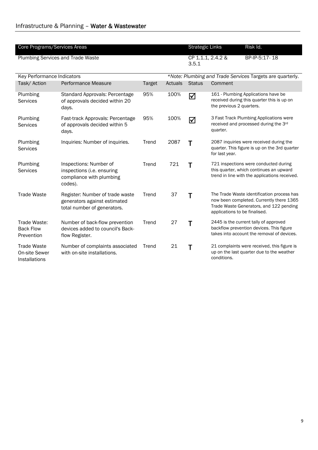| Core Programs/Services Areas                         |                                                                                                | <b>Strategic Links</b> | Risk Id. |               |                                                                                                                                                                    |
|------------------------------------------------------|------------------------------------------------------------------------------------------------|------------------------|----------|---------------|--------------------------------------------------------------------------------------------------------------------------------------------------------------------|
|                                                      | <b>Plumbing Services and Trade Waste</b>                                                       |                        |          | 3.5.1         | CP 1.1.1, 2.4.2 &<br>BP-IP-5:17-18                                                                                                                                 |
| Key Performance Indicators                           |                                                                                                |                        |          |               | *Note: Plumbing and Trade Services Targets are quarterly.                                                                                                          |
| Task/Action                                          | <b>Performance Measure</b>                                                                     | <b>Target</b>          | Actuals  | <b>Status</b> | Comment                                                                                                                                                            |
| Plumbing<br><b>Services</b>                          | Standard Approvals: Percentage<br>of approvals decided within 20<br>days.                      | 95%                    | 100%     | ☑             | 161 - Plumbing Applications have be<br>received during this quarter this is up on<br>the previous 2 quarters.                                                      |
| Plumbing<br>Services                                 | Fast-track Approvals: Percentage<br>of approvals decided within 5<br>days.                     | 95%                    | 100%     | ☑             | 3 Fast Track Plumbing Applications were<br>received and processed during the 3rd<br>quarter.                                                                       |
| Plumbing<br>Services                                 | Inquiries: Number of inquiries.                                                                | Trend                  | 2087     | Τ             | 2087 inquiries were received during the<br>quarter. This figure is up on the 3rd quarter<br>for last year.                                                         |
| Plumbing<br><b>Services</b>                          | Inspections: Number of<br>inspections (i.e. ensuring<br>compliance with plumbing<br>codes).    | Trend                  | 721      | Т             | 721 inspections were conducted during<br>this quarter, which continues an upward<br>trend in line with the applications received.                                  |
| <b>Trade Waste</b>                                   | Register: Number of trade waste<br>generators against estimated<br>total number of generators. | Trend                  | 37       | Т             | The Trade Waste identification process has<br>now been completed. Currently there 1365<br>Trade Waste Generators, and 122 pending<br>applications to be finalised. |
| Trade Waste:<br><b>Back Flow</b><br>Prevention       | Number of back-flow prevention<br>devices added to council's Back-<br>flow Register.           | Trend                  | 27       | Τ             | 2445 is the current tally of approved<br>backflow prevention devices. This figure<br>takes into account the removal of devices.                                    |
| <b>Trade Waste</b><br>On-site Sewer<br>Installations | Number of complaints associated<br>with on-site installations.                                 | Trend                  | 21       |               | 21 complaints were received, this figure is<br>up on the last quarter due to the weather<br>conditions.                                                            |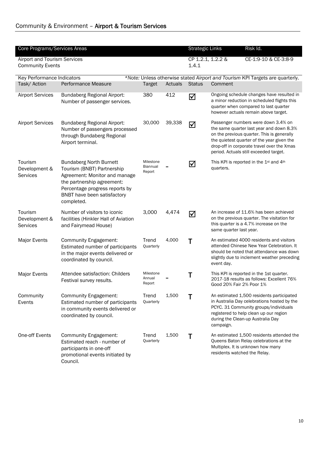| Core Programs/Services Areas                            |                                                                                                                                                                                                            |                                        | Risk Id.<br><b>Strategic Links</b> |               |                                           |                                                                                                                                                                                                                                                                     |  |  |
|---------------------------------------------------------|------------------------------------------------------------------------------------------------------------------------------------------------------------------------------------------------------------|----------------------------------------|------------------------------------|---------------|-------------------------------------------|---------------------------------------------------------------------------------------------------------------------------------------------------------------------------------------------------------------------------------------------------------------------|--|--|
| Airport and Tourism Services<br><b>Community Events</b> |                                                                                                                                                                                                            |                                        |                                    | 1.4.1         | CP 1.2.1, 1.2.2 &<br>CE-1:9-10 & CE-3:8-9 |                                                                                                                                                                                                                                                                     |  |  |
| Key Performance Indicators                              |                                                                                                                                                                                                            |                                        |                                    |               |                                           | *Note: Unless otherwise stated Airport and Tourism KPI Targets are quarterly.                                                                                                                                                                                       |  |  |
| Task/ Action                                            | Performance Measure                                                                                                                                                                                        | <b>Target</b>                          | Actuals                            | <b>Status</b> | Comment                                   |                                                                                                                                                                                                                                                                     |  |  |
| <b>Airport Services</b>                                 | <b>Bundaberg Regional Airport:</b><br>Number of passenger services.                                                                                                                                        | 380                                    | 412                                | ☑             |                                           | Ongoing schedule changes have resulted in<br>a minor reduction in scheduled flights this<br>quarter when compared to last quarter<br>however actuals remain above target.                                                                                           |  |  |
| <b>Airport Services</b>                                 | <b>Bundaberg Regional Airport:</b><br>Number of passengers processed<br>through Bundaberg Regional<br>Airport terminal.                                                                                    | 30,000                                 | 39,338                             | ☑             |                                           | Passenger numbers were down 3.4% on<br>the same quarter last year and down 8.3%<br>on the previous quarter. This is generally<br>the quietest quarter of the year given the<br>drop-off in corporate travel over the Xmas<br>period. Actuals still exceeded target. |  |  |
| Tourism<br>Development &<br>Services                    | <b>Bundaberg North Burnett</b><br>Tourism (BNBT) Partnership<br>Agreement: Monitor and manage<br>the partnership agreement:<br>Percentage progress reports by<br>BNBT have been satisfactory<br>completed. | Milestone<br><b>Biannual</b><br>Report |                                    | ☑             | quarters.                                 | This KPI is reported in the 1st and 4th                                                                                                                                                                                                                             |  |  |
| Tourism<br>Development &<br><b>Services</b>             | Number of visitors to iconic<br>facilities (Hinkler Hall of Aviation<br>and Fairymead House)                                                                                                               | 3,000                                  | 4,474                              | ☑             | same quarter last year.                   | An increase of 11.6% has been achieved<br>on the previous quarter. The visitation for<br>this quarter is a 4.7% increase on the                                                                                                                                     |  |  |
| Major Events                                            | <b>Community Engagement:</b><br>Estimated number of participants<br>in the major events delivered or<br>coordinated by council.                                                                            | Trend<br>Quarterly                     | 4,000                              | $\mathsf T$   | event day.                                | An estimated 4000 residents and visitors<br>attended Chinese New Year Celebration. It<br>should be noted that attendance was down<br>slightly due to inclement weather preceding                                                                                    |  |  |
| <b>Major Events</b>                                     | Attendee satisfaction: Childers<br>Festival survey results.                                                                                                                                                | Milestone<br>Annual<br>Report          |                                    | Τ             | Good 20% Fair 2% Poor 1%                  | This KPI is reported in the 1st quarter.<br>2017-18 results as follows: Excellent 76%                                                                                                                                                                               |  |  |
| Community<br>Events                                     | <b>Community Engagement:</b><br>Estimated number of participants<br>in community events delivered or<br>coordinated by council.                                                                            | Trend<br>Quarterly                     | 1,500                              | Τ             | campaign.                                 | An estimated 1,500 residents participated<br>in Australia Day celebrations hosted by the<br>PCYC. 31 Community groups/individuals<br>registered to help clean up our region<br>during the Clean-up Australia Day                                                    |  |  |
| One-off Events                                          | <b>Community Engagement:</b><br>Estimated reach - number of<br>participants in one-off<br>promotional events initiated by<br>Council.                                                                      | Trend<br>Quarterly                     | 1,500                              | Т             | residents watched the Relay.              | An estimated 1,500 residents attended the<br>Queens Baton Relay celebrations at the<br>Multiplex. It is unknown how many                                                                                                                                            |  |  |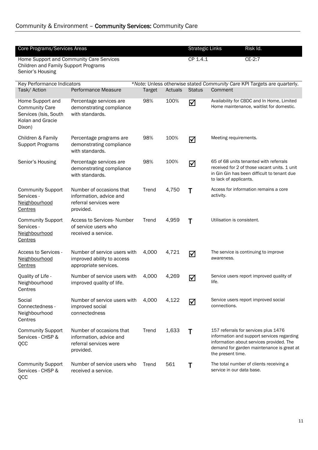| Core Programs/Services Areas                                                                     | Home Support and Community Care Services                                                   |               |         | <b>Strategic Links</b><br>CP 1.4.1 | Risk Id.<br>$CE-2:7$                                                                                                                                                                             |
|--------------------------------------------------------------------------------------------------|--------------------------------------------------------------------------------------------|---------------|---------|------------------------------------|--------------------------------------------------------------------------------------------------------------------------------------------------------------------------------------------------|
| Children and Family Support Programs<br>Senior's Housing                                         |                                                                                            |               |         |                                    |                                                                                                                                                                                                  |
| <b>Key Performance Indicators</b>                                                                |                                                                                            |               |         |                                    | *Note: Unless otherwise stated Community Care KPI Targets are quarterly.                                                                                                                         |
| Task/ Action                                                                                     | Performance Measure                                                                        | <b>Target</b> | Actuals | <b>Status</b>                      | Comment                                                                                                                                                                                          |
| Home Support and<br><b>Community Care</b><br>Services (Isis, South<br>Kolan and Gracie<br>Dixon) | Percentage services are<br>demonstrating compliance<br>with standards.                     | 98%           | 100%    | ☑                                  | Availability for CBDC and In Home, Limited<br>Home maintenance, waitlist for domestic.                                                                                                           |
| Children & Family<br><b>Support Programs</b>                                                     | Percentage programs are<br>demonstrating compliance<br>with standards.                     | 98%           | 100%    | ☑                                  | Meeting requirements.                                                                                                                                                                            |
| Senior's Housing                                                                                 | Percentage services are<br>demonstrating compliance<br>with standards.                     | 98%           | 100%    | ☑                                  | 65 of 68 units tenanted with referrals<br>received for 2 of those vacant units. 1 unit<br>in Gin Gin has been difficult to tenant due<br>to lack of applicants.                                  |
| <b>Community Support</b><br>Services -<br>Neighbourhood<br>Centres                               | Number of occasions that<br>information, advice and<br>referral services were<br>provided. | Trend         | 4,750   | Τ                                  | Access for information remains a core<br>activity.                                                                                                                                               |
| <b>Community Support</b><br>Services -<br>Neighbourhood<br>Centres                               | Access to Services-Number<br>of service users who<br>received a service.                   | Trend         | 4,959   | T                                  | Utilisation is consistent.                                                                                                                                                                       |
| Access to Services -<br>Neighbourhood<br>Centres                                                 | Number of service users with<br>improved ability to access<br>appropriate services.        | 4,000         | 4,721   | ☑                                  | The service is continuing to improve<br>awareness.                                                                                                                                               |
| Quality of Life -<br>Neighbourhood<br>Centres                                                    | Number of service users with<br>improved quality of life.                                  | 4,000         | 4,269   | ☑                                  | Service users report improved quality of<br>life.                                                                                                                                                |
| Social<br>Connectedness -<br>Neighbourhood<br>Centres                                            | Number of service users with<br>improved social<br>connectedness                           | 4,000         | 4,122   | ☑                                  | Service users report improved social<br>connections.                                                                                                                                             |
| <b>Community Support</b><br>Services - CHSP &<br>QCC                                             | Number of occasions that<br>information, advice and<br>referral services were<br>provided. | Trend         | 1,633   | Τ                                  | 157 referrals for services plus 1476<br>information and support services regarding<br>information about services provided. The<br>demand for garden maintenance is great at<br>the present time. |
| <b>Community Support</b><br>Services - CHSP &<br>QCC                                             | Number of service users who<br>received a service.                                         | Trend         | 561     | Τ                                  | The total number of clients receiving a<br>service in our data base.                                                                                                                             |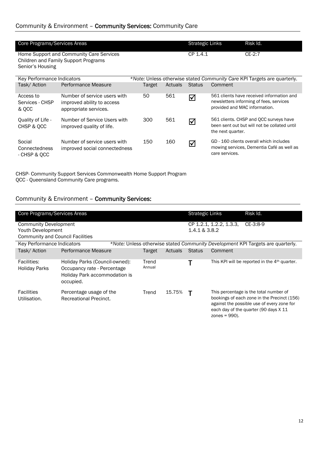| Core Programs/Services Areas           |                                                                                         |        | <b>Strategic Links</b> | Risk Id.      |                                                                                                                       |
|----------------------------------------|-----------------------------------------------------------------------------------------|--------|------------------------|---------------|-----------------------------------------------------------------------------------------------------------------------|
| Senior's Housing                       | Home Support and Community Care Services<br><b>Children and Family Support Programs</b> |        |                        | CP 1.4.1      | $CE-2:7$                                                                                                              |
| Key Performance Indicators             |                                                                                         |        |                        |               | *Note: Unless otherwise stated Community Care KPI Targets are quarterly.                                              |
| Task/Action                            | Performance Measure                                                                     | Target | Actuals                | <b>Status</b> | Comment                                                                                                               |
| Access to<br>Services - CHSP<br>& QCC  | Number of service users with<br>improved ability to access<br>appropriate services.     | 50     | 561                    | ☑             | 561 clients have received information and<br>newsletters informing of fees, services<br>provided and MAC information. |
| Quality of Life -<br>CHSP & OCC        | Number of Service Users with<br>improved quality of life.                               | 300    | 561                    | ☑             | 561 clients. CHSP and QCC surveys have<br>been sent out but will not be collated until<br>the next quarter.           |
| Social<br>Connectedness<br>CHED 2. OCC | Number of service users with<br>improved social connectedness                           | 150    | 160                    | ☑             | GD - 160 clients overall which includes<br>mowing services, Dementia Café as well as<br>care services.                |

- CHSP & QCC

CHSP- Community Support Services Commonwealth Home Support Program QCC - Queensland Community Care programs.

### Community & Environment – Community Services:

| Core Programs/Services Areas                                                                 |                                                                                                             |                 |         | <b>Strategic Links</b> |                                                        | Risk Id.                                                                                                                                                                     |  |
|----------------------------------------------------------------------------------------------|-------------------------------------------------------------------------------------------------------------|-----------------|---------|------------------------|--------------------------------------------------------|------------------------------------------------------------------------------------------------------------------------------------------------------------------------------|--|
| <b>Community Development</b><br>Youth Development<br><b>Community and Council Facilities</b> |                                                                                                             |                 |         |                        | $CE-3:8-9$<br>CP 1.2.1, 1.2.2, 1.3.3,<br>1.4.1 & 3.8.2 |                                                                                                                                                                              |  |
| Key Performance Indicators                                                                   |                                                                                                             |                 |         |                        |                                                        | *Note: Unless otherwise stated Community Development KPI Targets are quarterly.                                                                                              |  |
| Task/Action                                                                                  | <b>Performance Measure</b>                                                                                  | Target          | Actuals | <b>Status</b>          | Comment                                                |                                                                                                                                                                              |  |
| Facilities:<br><b>Holiday Parks</b>                                                          | Holiday Parks (Council-owned):<br>Occupancy rate - Percentage<br>Holiday Park accommodation is<br>occupied. | Trend<br>Annual |         |                        |                                                        | This KPI will be reported in the 4 <sup>th</sup> quarter.                                                                                                                    |  |
| <b>Facilities</b><br>Utilisation.                                                            | Percentage usage of the<br><b>Recreational Precinct.</b>                                                    | Trend           | 15.75%  |                        |                                                        | This percentage is the total number of<br>bookings of each zone in the Precinct (156)<br>against the possible use of every zone for<br>each day of the quarter (90 days X 11 |  |

 $\arccos$  = 990).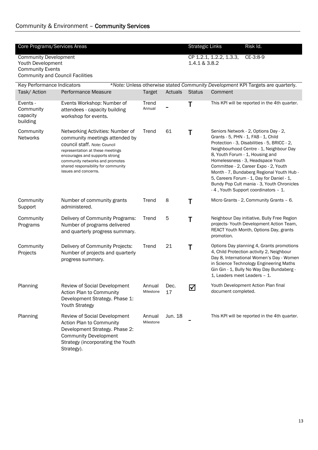## Community & Environment – Community Services

| Core Programs/Services Areas                                                                                            |                                                                                                                                                                                                                                                                            |                     | Risk Id.<br><b>Strategic Links</b> |                      |                              |                                                                                                                                                                                                                                                                                                                                                                                                                                                                         |
|-------------------------------------------------------------------------------------------------------------------------|----------------------------------------------------------------------------------------------------------------------------------------------------------------------------------------------------------------------------------------------------------------------------|---------------------|------------------------------------|----------------------|------------------------------|-------------------------------------------------------------------------------------------------------------------------------------------------------------------------------------------------------------------------------------------------------------------------------------------------------------------------------------------------------------------------------------------------------------------------------------------------------------------------|
| <b>Community Development</b><br>Youth Development<br><b>Community Events</b><br><b>Community and Council Facilities</b> |                                                                                                                                                                                                                                                                            | 1.4.1 & 3.8.2       | CP 1.2.1, 1.2.2, 1.3.3,            | $CE-3:8-9$           |                              |                                                                                                                                                                                                                                                                                                                                                                                                                                                                         |
| Key Performance Indicators                                                                                              |                                                                                                                                                                                                                                                                            |                     |                                    |                      |                              | *Note: Unless otherwise stated Community Development KPI Targets are quarterly.                                                                                                                                                                                                                                                                                                                                                                                         |
| Task/ Action                                                                                                            | <b>Performance Measure</b>                                                                                                                                                                                                                                                 | <b>Target</b>       | Actuals                            | <b>Status</b>        | Comment                      |                                                                                                                                                                                                                                                                                                                                                                                                                                                                         |
| Events -<br>Community<br>capacity<br>building                                                                           | Events Workshop: Number of<br>attendees - capacity building<br>workshop for events.                                                                                                                                                                                        | Trend<br>Annual     |                                    | Τ                    |                              | This KPI will be reported in the 4th quarter.                                                                                                                                                                                                                                                                                                                                                                                                                           |
| Community<br>Networks                                                                                                   | Networking Activities: Number of<br>community meetings attended by<br>council staff. Note: Council<br>representation at these meetings<br>encourages and supports strong<br>community networks and promotes<br>shared responsibility for community<br>issues and concerns. | Trend               | 61                                 | Τ                    |                              | Seniors Network - 2, Options Day - 2,<br>Grants - 5, PHN - 1, FAB - 1, Child<br>Protection - 3, Disabilities - 5, BRICC - 2,<br>Neighbourhood Centre - 1, Neighbour Day<br>8, Youth Forum - 1, Housing and<br>Homelessness - 3, Headspace Youth<br>Committee - 2, Career Expo - 2, Youth<br>Month - 7, Bundaberg Regional Youth Hub -<br>5, Careers Forum - 1, Day for Daniel - 1,<br>Bundy Pop Cult mania - 3, Youth Chronicles<br>-4, Youth Support coordinators - 1. |
| Community<br>Support                                                                                                    | Number of community grants<br>administered.                                                                                                                                                                                                                                | Trend               | 8                                  | Т                    |                              | Micro Grants - 2, Community Grants - 6.                                                                                                                                                                                                                                                                                                                                                                                                                                 |
| Community<br>Programs                                                                                                   | Delivery of Community Programs:<br>Number of programs delivered<br>and quarterly progress summary.                                                                                                                                                                         | Trend               | 5                                  | T                    | promotion.                   | Neighbour Day initiative, Bully Free Region<br>projects- Youth Development Action Team,<br>REACT Youth Month, Options Day, grants                                                                                                                                                                                                                                                                                                                                       |
| Community<br>Projects                                                                                                   | Delivery of Community Projects:<br>Number of projects and quarterly<br>progress summary.                                                                                                                                                                                   | Trend               | 21                                 | Τ                    | 1, Leaders meet Leaders - 1. | Options Day planning 4, Grants promotions<br>4, Child Protection activity 2, Neighbour<br>Day 8, International Women's Day - Women<br>in Science Technology Engineering Maths<br>Gin Gin - 1, Bully No Way Day Bundaberg -                                                                                                                                                                                                                                              |
| Planning                                                                                                                | Review of Social Development<br>Action Plan to Community<br>Development Strategy. Phase 1:<br><b>Youth Strategy</b>                                                                                                                                                        | Annual<br>Milestone | Dec.<br>17                         | $\blacktriangledown$ | document completed.          | Youth Development Action Plan final                                                                                                                                                                                                                                                                                                                                                                                                                                     |
| Planning                                                                                                                | Review of Social Development<br>Action Plan to Community<br>Development Strategy. Phase 2:<br><b>Community Development</b><br>Strategy (incorporating the Youth<br>Strategy).                                                                                              | Annual<br>Milestone | Jun. 18                            |                      |                              | This KPI will be reported in the 4th quarter.                                                                                                                                                                                                                                                                                                                                                                                                                           |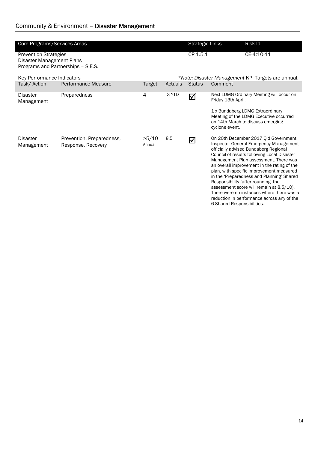| Core Programs/Services Areas                              |                                                 |                 |            | <b>Strategic Links</b> | Risk Id.                                                                                                                                                                                                                                                                                                                                                                                                                                                                                                                                                            |
|-----------------------------------------------------------|-------------------------------------------------|-----------------|------------|------------------------|---------------------------------------------------------------------------------------------------------------------------------------------------------------------------------------------------------------------------------------------------------------------------------------------------------------------------------------------------------------------------------------------------------------------------------------------------------------------------------------------------------------------------------------------------------------------|
| <b>Prevention Strategies</b><br>Disaster Management Plans | Programs and Partnerships - S.E.S.              | CP 1.5.1        | CE-4:10-11 |                        |                                                                                                                                                                                                                                                                                                                                                                                                                                                                                                                                                                     |
| Key Performance Indicators                                |                                                 |                 |            |                        | *Note: Disaster Management KPI Targets are annual.                                                                                                                                                                                                                                                                                                                                                                                                                                                                                                                  |
| Task/ Action                                              | Performance Measure                             | Target          | Actuals    | <b>Status</b>          | Comment                                                                                                                                                                                                                                                                                                                                                                                                                                                                                                                                                             |
| <b>Disaster</b><br>Management                             | Preparedness                                    | 4               | 3 YTD      | ☑                      | Next LDMG Ordinary Meeting will occur on<br>Friday 13th April.                                                                                                                                                                                                                                                                                                                                                                                                                                                                                                      |
|                                                           |                                                 |                 |            |                        | 1 x Bundaberg LDMG Extraordinary<br>Meeting of the LDMG Executive occurred<br>on 14th March to discuss emerging<br>cyclone event.                                                                                                                                                                                                                                                                                                                                                                                                                                   |
| <b>Disaster</b><br>Management                             | Prevention, Preparedness,<br>Response, Recovery | >5/10<br>Annual | 8.5        | ☑                      | On 20th December 2017 Old Government<br>Inspector General Emergency Management<br>officially advised Bundaberg Regional<br>Council of results following Local Disaster<br>Management Plan assessment. There was<br>an overall improvement in the rating of the<br>plan, with specific improvement measured<br>in the 'Preparedness and Planning' Shared<br>Responsibility (after rounding, the<br>assessment score will remain at 8.5/10).<br>There were no instances where there was a<br>reduction in performance across any of the<br>6 Shared Responsibilities. |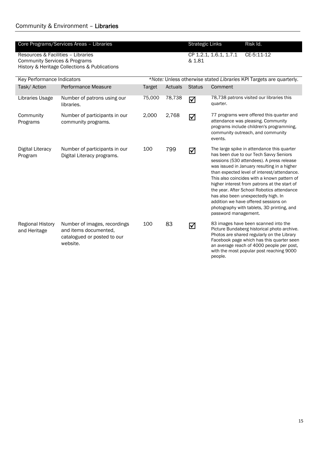|                                                                                | Core Programs/Services Areas - Libraries                                                         |               |         | <b>Strategic Links</b> |                                                                     | Risk Id.                                                                                                                                                                                                                                                                                                                                                                                                                                                                                                  |  |  |
|--------------------------------------------------------------------------------|--------------------------------------------------------------------------------------------------|---------------|---------|------------------------|---------------------------------------------------------------------|-----------------------------------------------------------------------------------------------------------------------------------------------------------------------------------------------------------------------------------------------------------------------------------------------------------------------------------------------------------------------------------------------------------------------------------------------------------------------------------------------------------|--|--|
| Resources & Facilities - Libraries<br><b>Community Services &amp; Programs</b> | History & Heritage Collections & Publications                                                    |               | & 1.81  | CP 1.2.1, 1.6.1, 1.7.1 | $CE-5:11-12$                                                        |                                                                                                                                                                                                                                                                                                                                                                                                                                                                                                           |  |  |
| Key Performance Indicators                                                     |                                                                                                  |               |         |                        | *Note: Unless otherwise stated Libraries KPI Targets are quarterly. |                                                                                                                                                                                                                                                                                                                                                                                                                                                                                                           |  |  |
| Task/Action                                                                    | Performance Measure                                                                              | <b>Target</b> | Actuals | <b>Status</b>          | Comment                                                             |                                                                                                                                                                                                                                                                                                                                                                                                                                                                                                           |  |  |
| Libraries Usage                                                                | Number of patrons using our<br>libraries.                                                        | 75,000        | 78,738  | ☑                      | quarter.                                                            | 78,738 patrons visited our libraries this                                                                                                                                                                                                                                                                                                                                                                                                                                                                 |  |  |
| Community<br>Programs                                                          | Number of participants in our<br>community programs.                                             | 2,000         | 2,768   | ☑                      | events.                                                             | 77 programs were offered this quarter and<br>attendance was pleasing. Community<br>programs include children's programming,<br>community outreach, and community                                                                                                                                                                                                                                                                                                                                          |  |  |
| Digital Literacy<br>Program                                                    | Number of participants in our<br>Digital Literacy programs.                                      | 100           | 799     | ☑                      | password management.                                                | The large spike in attendance this quarter<br>has been due to our Tech Savvy Seniors<br>sessions (530 attendees). A press release<br>was issued in January resulting in a higher<br>than expected level of interest/attendance.<br>This also coincides with a known pattern of<br>higher interest from patrons at the start of<br>the year. After School Robotics attendance<br>has also been unexpectedly high. In<br>addition we have offered sessions on<br>photography with tablets, 3D printing, and |  |  |
| <b>Regional History</b><br>and Heritage                                        | Number of images, recordings<br>and items documented,<br>catalogued or posted to our<br>website. | 100           | 83      | ☑                      | people.                                                             | 83 images have been scanned into the<br>Picture Bundaberg historical photo archive.<br>Photos are shared regularly on the Library<br>Facebook page which has this quarter seen<br>an average reach of 4000 people per post,<br>with the most popular post reaching 9000                                                                                                                                                                                                                                   |  |  |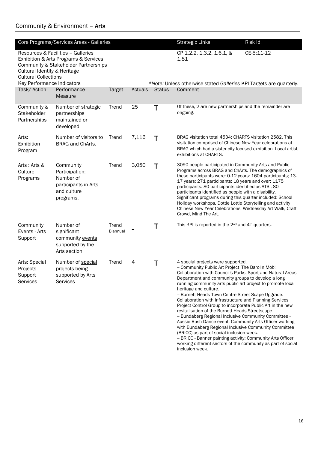|                                                             | Core Programs/Services Areas - Galleries                                                                            |                          |         |               | <b>Strategic Links</b>                                                                                                                                                                                                                                                                                                                                                                                                                                                                                                                                                                                                                                                                                                                                                                                                                                                                                                  | Risk Id.   |
|-------------------------------------------------------------|---------------------------------------------------------------------------------------------------------------------|--------------------------|---------|---------------|-------------------------------------------------------------------------------------------------------------------------------------------------------------------------------------------------------------------------------------------------------------------------------------------------------------------------------------------------------------------------------------------------------------------------------------------------------------------------------------------------------------------------------------------------------------------------------------------------------------------------------------------------------------------------------------------------------------------------------------------------------------------------------------------------------------------------------------------------------------------------------------------------------------------------|------------|
| Cultural Identity & Heritage<br><b>Cultural Collections</b> | Resources & Facilities - Galleries<br>Exhibition & Arts Programs & Services<br>Community & Stakeholder Partnerships |                          |         |               | CP 1.2.2, 1.3.2, 1.6.1, &<br>1.81                                                                                                                                                                                                                                                                                                                                                                                                                                                                                                                                                                                                                                                                                                                                                                                                                                                                                       | CE-5:11-12 |
| Key Performance Indicators                                  |                                                                                                                     |                          |         |               | *Note: Unless otherwise stated Galleries KPI Targets are quarterly.                                                                                                                                                                                                                                                                                                                                                                                                                                                                                                                                                                                                                                                                                                                                                                                                                                                     |            |
| Task/ Action                                                | Performance<br>Measure                                                                                              | <b>Target</b>            | Actuals | <b>Status</b> | Comment                                                                                                                                                                                                                                                                                                                                                                                                                                                                                                                                                                                                                                                                                                                                                                                                                                                                                                                 |            |
| Community &<br>Stakeholder<br>Partnerships                  | Number of strategic<br>partnerships<br>maintained or<br>developed.                                                  | Trend                    | 25      | Τ             | Of these, 2 are new partnerships and the remainder are<br>ongoing.                                                                                                                                                                                                                                                                                                                                                                                                                                                                                                                                                                                                                                                                                                                                                                                                                                                      |            |
| Arts:<br>Exhibition<br>Program                              | Number of visitors to<br>BRAG and ChArts.                                                                           | Trend                    | 7,116   | Τ             | BRAG visitation total 4534; CHARTS visitation 2582. This<br>visitation comprised of Chinese New Year celebrations at<br>BRAG which had a sister city focused exhibition. Local artist<br>exhibitions at CHARTS.                                                                                                                                                                                                                                                                                                                                                                                                                                                                                                                                                                                                                                                                                                         |            |
| Arts: Arts &<br>Culture<br>Programs                         | Community<br>Participation:<br>Number of<br>participants in Arts<br>and culture<br>programs.                        | Trend                    | 3,050   | Τ             | 3050 people participated in Community Arts and Public<br>Programs across BRAG and ChArts. The demographics of<br>these participants were: 0-12 years: 1604 participants; 13-<br>17 years: 271 participants; 18 years and over: 1175<br>participants. 80 participants identified as ATSI; 80<br>participants identified as people with a disability.<br>Significant programs during this quarter included: School<br>Holiday workshops, Dottie Lottie Storytelling and activity<br>Chinese New Year Celebrations, Wednesday Art Walk, Craft<br>Crowd, Mind The Art.                                                                                                                                                                                                                                                                                                                                                      |            |
| Community<br>Events - Arts<br>Support                       | Number of<br>significant<br>community events<br>supported by the<br>Arts section.                                   | Trend<br><b>Biannual</b> |         | T             | This KPI is reported in the 2 <sup>nd</sup> and 4 <sup>th</sup> quarters.                                                                                                                                                                                                                                                                                                                                                                                                                                                                                                                                                                                                                                                                                                                                                                                                                                               |            |
| Arts: Special<br>Projects<br>Support<br>Services            | Number of special<br>projects being<br>supported by Arts<br><b>Services</b>                                         | Trend                    | 4       | т             | 4 special projects were supported.<br>- Community Public Art Project 'The Barolin Mob':<br>Collaboration with Council's Parks, Sport and Natural Areas<br>Department and community groups to develop a long<br>running community arts public art project to promote local<br>heritage and culture.<br>-- Burnett Heads Town Centre Street Scape Upgrade:<br><b>Collaboration with Infrastructure and Planning Services</b><br>Project Control Group to incorporate Public Art in the new<br>revitalisation of the Burnett Heads Streetscape.<br>-- Bundaberg Regional Inclusive Community Committee -<br>Aussie Bush Dance event: Community Arts Officer working<br>with Bundaberg Regional Inclusive Community Committee<br>(BRICC) as part of social inclusion week.<br>- BRICC - Banner painting activity: Community Arts Officer<br>working different sectors of the community as part of social<br>inclusion week. |            |

## Community & Environment – Arts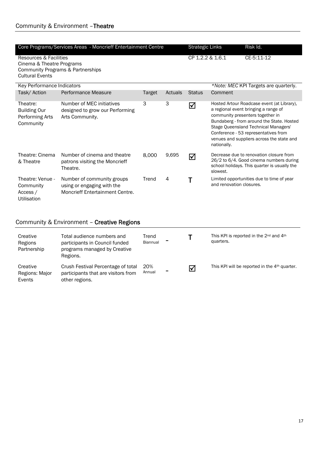|                                                                 | Core Programs/Services Areas - Moncrieff Entertainment Centre                                                | <b>Strategic Links</b> |         | Risk Id.      |                          |                                                                                                                                                                                                                                                                                                  |
|-----------------------------------------------------------------|--------------------------------------------------------------------------------------------------------------|------------------------|---------|---------------|--------------------------|--------------------------------------------------------------------------------------------------------------------------------------------------------------------------------------------------------------------------------------------------------------------------------------------------|
| <b>Cultural Events</b>                                          | CP 1.2.2 & 1.6.1<br>Resources & Facilities<br>Cinema & Theatre Programs<br>Community Programs & Partnerships |                        |         |               |                          | CE-5:11-12                                                                                                                                                                                                                                                                                       |
| Key Performance Indicators                                      |                                                                                                              |                        |         |               |                          | *Note: MEC KPI Targets are quarterly.                                                                                                                                                                                                                                                            |
| Task/Action                                                     | Performance Measure                                                                                          | <b>Target</b>          | Actuals | <b>Status</b> | Comment                  |                                                                                                                                                                                                                                                                                                  |
| Theatre:<br><b>Building Our</b><br>Performing Arts<br>Community | Number of MEC initiatives<br>designed to grow our Performing<br>Arts Community.                              | 3                      | 3       | ☑             | nationally.              | Hosted Artour Roadcase event (at Library),<br>a regional event bringing a range of<br>community presenters together in<br>Bundaberg - from around the State. Hosted<br>Stage Queensland Technical Managers'<br>Conference - 53 representatives from<br>venues and suppliers across the state and |
| Theatre: Cinema<br>& Theatre                                    | Number of cinema and theatre<br>patrons visiting the Moncrieff<br>Theatre.                                   | 8,000                  | 9,695   | ☑             | slowest.                 | Decrease due to renovation closure from<br>26/2 to 6/4. Good cinema numbers during<br>school holidays. This quarter is usually the                                                                                                                                                               |
| Theatre: Venue -<br>Community<br>Access /<br>Utilisation        | Number of community groups<br>using or engaging with the<br>Moncrieff Entertainment Centre.                  | Trend                  | 4       |               | and renovation closures. | Limited opportunities due to time of year                                                                                                                                                                                                                                                        |

# Community & Environment – Creative Regions

| Creative<br>Regions<br>Partnership   | Total audience numbers and<br>participants in Council funded<br>programs managed by Creative<br>Regions. | Trend<br>Biannual |                |   | This KPI is reported in the $2^{nd}$ and $4^{th}$<br>quarters. |
|--------------------------------------|----------------------------------------------------------------------------------------------------------|-------------------|----------------|---|----------------------------------------------------------------|
| Creative<br>Regions: Major<br>Events | Crush Festival Percentage of total<br>participants that are visitors from<br>other regions.              | 20%<br>Annual     | $\blacksquare$ | ☑ | This KPI will be reported in the 4 <sup>th</sup> quarter.      |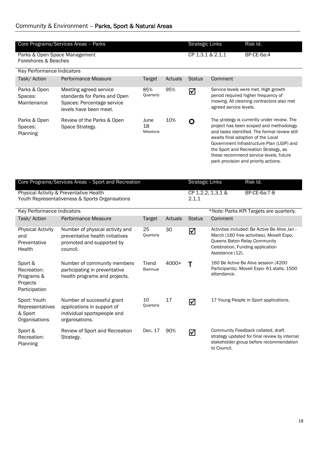|                                                                   | Core Programs/Services Areas - Parks                                                                           |                          | Risk Id.<br><b>Strategic Links</b> |                  |                                                                                      |                                                                                                                                                                                                                                                                                                                 |
|-------------------------------------------------------------------|----------------------------------------------------------------------------------------------------------------|--------------------------|------------------------------------|------------------|--------------------------------------------------------------------------------------|-----------------------------------------------------------------------------------------------------------------------------------------------------------------------------------------------------------------------------------------------------------------------------------------------------------------|
| Parks & Open Space Management<br>Foreshores & Beaches             |                                                                                                                |                          |                                    | CP 1.3.1 & 2.1.1 |                                                                                      | BP-CE-6a:4                                                                                                                                                                                                                                                                                                      |
| Key Performance Indicators                                        |                                                                                                                |                          |                                    |                  |                                                                                      |                                                                                                                                                                                                                                                                                                                 |
| Task/Action                                                       | Performance Measure                                                                                            | <b>Target</b>            | Actuals                            | <b>Status</b>    | Comment                                                                              |                                                                                                                                                                                                                                                                                                                 |
| Parks & Open<br>Spaces:<br>Maintenance                            | Meeting agreed service<br>standards for Parks and Open<br>Spaces: Percentage service<br>levels have been meet. | 85%<br>Quarterly         | 95%                                | ☑                | agreed service levels.                                                               | Service levels were met. High growth<br>period required higher frequency of<br>mowing. All cleaning contractors also met                                                                                                                                                                                        |
| Parks & Open<br>Spaces:<br>Planning                               | Review of the Parks & Open<br>Space Strategy.                                                                  | June<br>18<br>Milestone  | 10%                                | O                | awaits final adoption of the Local                                                   | The strategy is currently under review. The<br>project has been scoped and methodology<br>and tasks identified. The formal review still<br>Government Infrastructure Plan (LGIP) and<br>the Sport and Recreation Strategy, as<br>these recommend service levels, future<br>park provision and priority actions. |
|                                                                   | Core Programs/Services Areas - Sport and Recreation                                                            | <b>Strategic Links</b>   |                                    | Risk Id.         |                                                                                      |                                                                                                                                                                                                                                                                                                                 |
|                                                                   | Physical Activity & Preventative Health<br>Youth Representativeness & Sports Organisations                     |                          |                                    | 2.1.1            | CP 1.2.2, 1.3.1 &                                                                    | BP-CE-6a:7-8                                                                                                                                                                                                                                                                                                    |
| Key Performance Indicators                                        |                                                                                                                |                          |                                    |                  |                                                                                      | *Note: Parks KPI Targets are quarterly.                                                                                                                                                                                                                                                                         |
| Task/Action                                                       | Performance Measure                                                                                            | Target                   | Actuals                            | <b>Status</b>    | Comment                                                                              |                                                                                                                                                                                                                                                                                                                 |
| <b>Physical Activity</b><br>and<br>Preventative<br>Health         | Number of physical activity and<br>preventative health initiatives<br>promoted and supported by<br>council.    | 25<br>Quarterly          | 30                                 | ☑                | Queens Baton Relay Community<br>Celebration, Funding application<br>Assistance (12). | Activities included: Be Active Be Alive Jan -<br>March (160 free activities), Movelt Expo,                                                                                                                                                                                                                      |
| Sport &<br>Recreation:<br>Programs &<br>Projects<br>Participation | Number of community members<br>participating in preventative<br>health programs and projects.                  | Trend<br><b>Biannual</b> | 4000+                              | Τ                | attendance.                                                                          | 160 Be Active Be Alive session (4200<br>Participants). Moveit Expo- 61 stalls, 1500                                                                                                                                                                                                                             |
| Sport: Youth<br>Representatives<br>& Sport<br>Organisations       | Number of successful grant<br>applications in support of<br>individual sportspeople and<br>organisations.      | 10<br>Quarterly          | 17                                 | ☑                |                                                                                      | 17 Young People in Sport applications.                                                                                                                                                                                                                                                                          |
| Sport &<br>Recreation:<br>Planning                                | Review of Sport and Recreation<br>Strategy.                                                                    | Dec. 17                  | 90%                                | ☑                | to Council.                                                                          | Community Feedback collated, draft<br>strategy updated for final review by internal<br>stakeholder group before recommendation                                                                                                                                                                                  |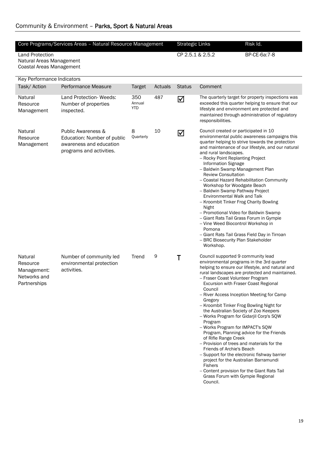# Community & Environment – Parks, Sport & Natural Areas

|                                                                                | Core Programs/Services Areas - Natural Resource Management                                                          |                      |         | <b>Strategic Links</b> |                                                                                                                                                                                                                                                                                                                                                                                                                                                                                                                                                                                    | Risk Id.                                                                                                                                                                                                                                                                                 |
|--------------------------------------------------------------------------------|---------------------------------------------------------------------------------------------------------------------|----------------------|---------|------------------------|------------------------------------------------------------------------------------------------------------------------------------------------------------------------------------------------------------------------------------------------------------------------------------------------------------------------------------------------------------------------------------------------------------------------------------------------------------------------------------------------------------------------------------------------------------------------------------|------------------------------------------------------------------------------------------------------------------------------------------------------------------------------------------------------------------------------------------------------------------------------------------|
| <b>Land Protection</b><br>Natural Areas Management<br>Coastal Areas Management |                                                                                                                     |                      |         | CP 2.5.1 & 2.5.2       |                                                                                                                                                                                                                                                                                                                                                                                                                                                                                                                                                                                    | BP-CE-6a:7-8                                                                                                                                                                                                                                                                             |
| Key Performance Indicators                                                     |                                                                                                                     |                      |         |                        |                                                                                                                                                                                                                                                                                                                                                                                                                                                                                                                                                                                    |                                                                                                                                                                                                                                                                                          |
| Task/Action                                                                    | Performance Measure                                                                                                 | Target               | Actuals | <b>Status</b>          | Comment                                                                                                                                                                                                                                                                                                                                                                                                                                                                                                                                                                            |                                                                                                                                                                                                                                                                                          |
| Natural<br>Resource<br>Management                                              | Land Protection- Weeds:<br>Number of properties<br>inspected.                                                       | 350<br>Annual<br>YTD | 487     | $\boxtimes$            | responsibilities.                                                                                                                                                                                                                                                                                                                                                                                                                                                                                                                                                                  | The quarterly target for property inspections was<br>exceeded this quarter helping to ensure that our<br>lifestyle and environment are protected and<br>maintained through administration of regulatory                                                                                  |
| Natural<br>Resource<br>Management                                              | <b>Public Awareness &amp;</b><br>Education: Number of public<br>awareness and education<br>programs and activities. | 8<br>Quarterly       | 10      | $\blacktriangleright$  | Council created or participated in 10<br>and rural landscapes.<br>- Rocky Point Replanting Project<br><b>Information Signage</b><br>-- Baldwin Swamp Management Plan<br><b>Review Consultation</b><br>Workshop for Woodgate Beach<br>-- Baldwin Swamp Pathway Project<br>Environmental Walk and Talk<br>- Kroombit Tinker Frog Charity Bowling<br>Night<br>-- Promotional Video for Baldwin Swamp<br>- Giant Rats Tail Grass Forum in Gympie<br>-- Vine Weed Biocontrol Workshop in<br>Pomona<br>-- BRC Biosecurity Plan Stakeholder<br>Workshop.                                  | environmental public awareness campaigns this<br>quarter helping to strive towards the protection<br>and maintenance of our lifestyle, and our natural<br>-- Coastal Hazard Rehabilitation Community<br>- Giant Rats Tail Grass Field Day in Tirroan                                     |
| Natural<br>Resource<br>Management:<br>Networks and<br>Partnerships             | Number of community led<br>environmental protection<br>activities.                                                  | Trend                | 9       | Τ                      | Council supported 9 community lead<br>- Fraser Coast Volunteer Program<br>Excursion with Fraser Coast Regional<br>Council<br>Gregory<br>- Kroombit Tinker Frog Bowling Night for<br>the Australian Society of Zoo Keepers<br>-- Works Program for Gidarjil Corp's SQW<br>Program<br>- Works Program for IMPACT's SQW<br>of Rifle Range Creek<br>-- Provision of trees and materials for the<br>Friends of Archie's Beach<br>project for the Australian Barramundi<br><b>Fishers</b><br>- Content provision for the Giant Rats Tail<br>Grass Forum with Gympie Regional<br>Council. | environmental programs in the 3rd quarter<br>helping to ensure our lifestyle, and natural and<br>rural landscapes are protected and maintained.<br>- River Access Inception Meeting for Camp<br>Program, Planning advice for the Friends<br>- Support for the electronic fishway barrier |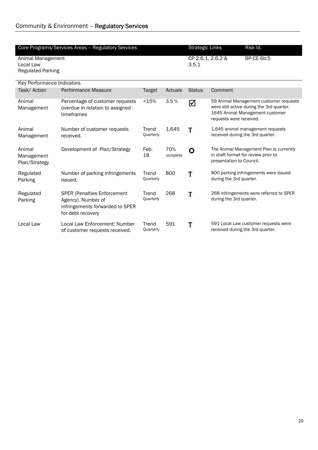|                            | Core Programs/Services Areas - Regulatory Services |                    |          | <b>Strategic Links</b> |                          | Risk Id.                                  |
|----------------------------|----------------------------------------------------|--------------------|----------|------------------------|--------------------------|-------------------------------------------|
| Animal Management          |                                                    |                    |          | CP 2.6.1, 2.6.2 &      |                          | BP-CE-6b:5                                |
| Local Law                  |                                                    |                    |          | 3.5.1                  |                          |                                           |
| <b>Regulated Parking</b>   |                                                    |                    |          |                        |                          |                                           |
|                            |                                                    |                    |          |                        |                          |                                           |
| Key Performance Indicators |                                                    |                    |          |                        |                          |                                           |
| Task/Action                | Performance Measure                                | <b>Target</b>      | Actuals  | <b>Status</b>          | Comment                  |                                           |
| Animal                     | Percentage of customer requests                    | < 15%              | 3.5%     | ☑                      |                          | 59 Animal Management customer requests    |
| Management                 | overdue in relation to assigned                    |                    |          |                        |                          | were still active during the 3rd quarter. |
|                            | timeframes                                         |                    |          |                        | requests were received.  | 1645 Animal Management customer           |
|                            |                                                    |                    |          |                        |                          |                                           |
| Animal                     | Number of customer requests                        | Trend              | 1,645    | Т                      |                          | 1,645 animal management requests          |
| Management                 | received.                                          | Quarterly          |          |                        |                          | received during the 3rd quarter.          |
| Animal                     | Development of Plan/Strategy                       | Feb.               | 70%      |                        |                          | The Animal Management Plan is currently   |
| Management                 |                                                    | 18                 | complete | O                      |                          | in draft format for review prior to       |
| Plan/Strategy              |                                                    |                    |          |                        | presentation to Council. |                                           |
|                            |                                                    |                    |          |                        |                          |                                           |
| Regulated                  | Number of parking infringements                    | Trend              | 800      | Τ                      |                          | 800 parking infringements were issued     |
| Parking                    | issued.                                            | Quarterly          |          |                        | during the 3rd quarter.  |                                           |
|                            |                                                    |                    |          |                        |                          |                                           |
| Regulated                  | <b>SPER (Penalties Enforcement</b>                 | Trend<br>Quarterly | 268      | Т                      | during the 3rd quarter.  | 268 infringements were referred to SPER   |
| Parking                    | Agency). Number of                                 |                    |          |                        |                          |                                           |
|                            | infringements forwarded to SPER                    |                    |          |                        |                          |                                           |
|                            | for debt recovery                                  |                    |          |                        |                          |                                           |
| Local Law                  | Local Law Enforcement: Number                      | Trend              | 591      | Т                      |                          | 591 Local Law customer requests were      |
|                            | of customer requests received.                     | Quarterly          |          |                        |                          | received during the 3rd quarter.          |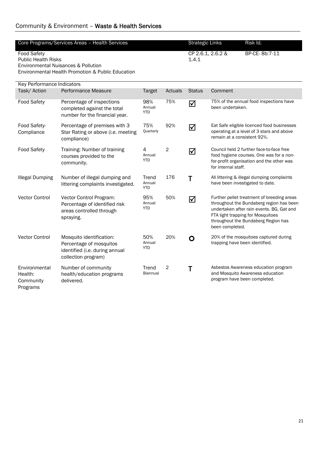| Core Programs/Services Areas - Health Services        | Strategic Links   | Risk Id.       |  |
|-------------------------------------------------------|-------------------|----------------|--|
|                                                       |                   |                |  |
| <b>Food Safety</b>                                    | CP 2.6.1, 2.6.2 & | BP-CE- 8b:7-11 |  |
| <b>Public Health Risks</b>                            | 1.4.1             |                |  |
| Environmental Nuisances & Pollution                   |                   |                |  |
| Foundation of Line Holmes and the Contract Calvestics |                   |                |  |

Environmental Health Promotion & Public Education

| Key Performance Indicators                        |                                                                                                              |                             |                |               |                                                                                                                                                                                                                                    |  |  |  |
|---------------------------------------------------|--------------------------------------------------------------------------------------------------------------|-----------------------------|----------------|---------------|------------------------------------------------------------------------------------------------------------------------------------------------------------------------------------------------------------------------------------|--|--|--|
| Task/Action                                       | Performance Measure                                                                                          | <b>Target</b>               | Actuals        | <b>Status</b> | Comment                                                                                                                                                                                                                            |  |  |  |
| <b>Food Safety</b>                                | Percentage of inspections<br>completed against the total<br>number for the financial year.                   | 98%<br>Annual<br><b>YTD</b> | 75%            | ☑             | 75% of the annual food inspections have<br>been undertaken.                                                                                                                                                                        |  |  |  |
| Food Safety-<br>Compliance                        | Percentage of premises with 3<br>Star Rating or above (i.e. meeting<br>compliance)                           | 75%<br>Quarterly            | 92%            | ☑             | Eat Safe eligible licenced food businesses<br>operating at a level of 3 stars and above<br>remain at a consistent 92%.                                                                                                             |  |  |  |
| Food Safety                                       | Training: Number of training<br>courses provided to the<br>community.                                        | 4<br>Annual<br><b>YTD</b>   | $\overline{2}$ | ☑             | Council held 2 further face-to-face free<br>food hygiene courses. One was for a non-<br>for-profit organisation and the other was<br>for internal staff.                                                                           |  |  |  |
| <b>Illegal Dumping</b>                            | Number of illegal dumping and<br>littering complaints investigated.                                          | Trend<br>Annual<br>YTD.     | 176            | Τ             | All littering & illegal dumping complaints<br>have been investigated to date.                                                                                                                                                      |  |  |  |
| <b>Vector Control</b>                             | Vector Control Program:<br>Percentage of identified risk<br>areas controlled through<br>spraying.            | 95%<br>Annual<br><b>YTD</b> | 50%            | ☑             | Further pellet treatment of breeding areas<br>throughout the Bundaberg region has been<br>undertaken after rain events. BG, Gat and<br>FTA light trapping for Mosquitoes<br>throughout the Bundaberg Region has<br>been completed. |  |  |  |
| Vector Control                                    | Mosquito identification:<br>Percentage of mosquitos<br>identified (i.e. during annual<br>collection program) | 50%<br>Annual<br><b>YTD</b> | 20%            | O             | 20% of the mosquitoes captured during<br>trapping have been identified.                                                                                                                                                            |  |  |  |
| Environmental<br>Health:<br>Community<br>Programs | Number of community<br>health/education programs<br>delivered.                                               | Trend<br><b>Biannual</b>    | $\overline{2}$ | Τ             | Asbestos Awareness education program<br>and Mosquito Awareness education<br>program have been completed.                                                                                                                           |  |  |  |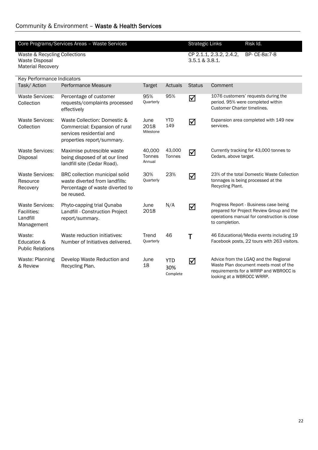### Community & Environment – Waste & Health Services

| Core Programs/Services Areas - Waste Services                               |                                                                                                                          |                            |                                                            |               | Risk Id.<br><b>Strategic Links</b>                                                                                                                   |
|-----------------------------------------------------------------------------|--------------------------------------------------------------------------------------------------------------------------|----------------------------|------------------------------------------------------------|---------------|------------------------------------------------------------------------------------------------------------------------------------------------------|
| Waste & Recycling Collections<br>Waste Disposal<br><b>Material Recovery</b> |                                                                                                                          |                            | CP 2.1.1, 2.3.2, 2.4.2,<br>BP- CE-8a:7-8<br>3.5.1 & 3.8.1. |               |                                                                                                                                                      |
| <b>Key Performance Indicators</b>                                           |                                                                                                                          |                            |                                                            |               |                                                                                                                                                      |
| Task/Action                                                                 | Performance Measure                                                                                                      | <b>Target</b>              | Actuals                                                    | <b>Status</b> | Comment                                                                                                                                              |
| <b>Waste Services:</b><br>Collection                                        | Percentage of customer<br>requests/complaints processed<br>effectively                                                   | 95%<br>Quarterly           | 95%                                                        | ☑             | 1076 customers' requests during the<br>period. 95% were completed within<br><b>Customer Charter timelines.</b>                                       |
| <b>Waste Services:</b><br>Collection                                        | Waste Collection: Domestic &<br>Commercial: Expansion of rural<br>services residential and<br>properties report/summary. | June<br>2018<br>Milestone  | <b>YTD</b><br>149                                          | ☑             | Expansion area completed with 149 new<br>services.                                                                                                   |
| <b>Waste Services:</b><br>Disposal                                          | Maximise putrescible waste<br>being disposed of at our lined<br>landfill site (Cedar Road).                              | 40,000<br>Tonnes<br>Annual | 43,000<br>Tonnes                                           | $\Delta$      | Currently tracking for 43,000 tonnes to<br>Cedars, above target.                                                                                     |
| <b>Waste Services:</b><br>Resource<br>Recovery                              | BRC collection municipal solid<br>waste diverted from landfills:<br>Percentage of waste diverted to<br>be reused.        | 30%<br>Quarterly           | 23%                                                        | ☑             | 23% of the total Domestic Waste Collection<br>tonnages is being processed at the<br>Recycling Plant.                                                 |
| <b>Waste Services:</b><br>Facilities:<br>Landfill<br>Management             | Phyto-capping trial Qunaba<br>Landfill - Construction Project<br>report/summary.                                         | June<br>2018               | N/A                                                        | ☑             | Progress Report - Business case being<br>prepared for Project Review Group and the<br>operations manual for construction is close<br>to completion.  |
| Waste:<br>Education &<br><b>Public Relations</b>                            | Waste reduction initiatives:<br>Number of Initiatives delivered.                                                         | Trend<br>Quarterly         | 46                                                         | Т             | 46 Educational/Media events including 19<br>Facebook posts, 22 tours with 263 visitors.                                                              |
| Waste: Planning<br>& Review                                                 | Develop Waste Reduction and<br>Recycling Plan.                                                                           | June<br>18                 | <b>YTD</b><br>30%<br>Complete                              | ☑             | Advice from the LGAQ and the Regional<br>Waste Plan document meets most of the<br>requirements for a WRRP and WBROCC is<br>looking at a WBROCC WRRP. |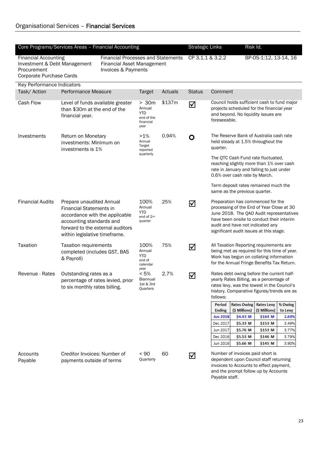| Core Programs/Services Areas - Financial Accounting                                                    |                                                                                                                                                                                               |           |                                                                   |                                           | <b>Strategic Links</b><br>Risk Id. |                                                                                                                                                                                                |                                                                                                                                                                                                                                                        |               |                                                                                                                                                              |  |  |
|--------------------------------------------------------------------------------------------------------|-----------------------------------------------------------------------------------------------------------------------------------------------------------------------------------------------|-----------|-------------------------------------------------------------------|-------------------------------------------|------------------------------------|------------------------------------------------------------------------------------------------------------------------------------------------------------------------------------------------|--------------------------------------------------------------------------------------------------------------------------------------------------------------------------------------------------------------------------------------------------------|---------------|--------------------------------------------------------------------------------------------------------------------------------------------------------------|--|--|
| <b>Financial Accounting</b><br>Investment & Debt Management<br>Procurement<br>Corporate Purchase Cards | <b>Financial Processes and Statements</b><br><b>Financial Asset Management</b><br>Invoices & Payments                                                                                         |           |                                                                   | CP 3.1.1 & 3.2.2<br>BP-0S-1:12, 13-14, 16 |                                    |                                                                                                                                                                                                |                                                                                                                                                                                                                                                        |               |                                                                                                                                                              |  |  |
| Key Performance Indicators                                                                             |                                                                                                                                                                                               |           |                                                                   |                                           |                                    |                                                                                                                                                                                                |                                                                                                                                                                                                                                                        |               |                                                                                                                                                              |  |  |
| Task/Action                                                                                            | Performance Measure                                                                                                                                                                           |           | <b>Target</b>                                                     | Actuals                                   | <b>Status</b>                      | Comment                                                                                                                                                                                        |                                                                                                                                                                                                                                                        |               |                                                                                                                                                              |  |  |
| Cash Flow                                                                                              | Level of funds available greater<br>than \$30m at the end of the<br>financial year.                                                                                                           |           | > 30m<br>Annual<br><b>YTD</b><br>end of the<br>financial<br>year  | \$137m                                    | ☑                                  | foreseeable.                                                                                                                                                                                   | Council holds sufficient cash to fund major<br>projects scheduled for the financial year<br>and beyond. No liquidity issues are                                                                                                                        |               |                                                                                                                                                              |  |  |
| Investments                                                                                            | Return on Monetary<br>investments: Minimum on<br>investments is 1%                                                                                                                            |           | $>1\%$<br>Annual<br>Target<br>reported                            | 0.94%                                     | O                                  | The Reserve Bank of Australia cash rate<br>held steady at 1.5% throughout the<br>quarter.                                                                                                      |                                                                                                                                                                                                                                                        |               |                                                                                                                                                              |  |  |
|                                                                                                        |                                                                                                                                                                                               | quarterly |                                                                   |                                           |                                    |                                                                                                                                                                                                |                                                                                                                                                                                                                                                        |               | The QTC Cash Fund rate fluctuated,<br>reaching slightly more than 1% over cash<br>rate in January and falling to just under<br>0.6% over cash rate by March. |  |  |
|                                                                                                        |                                                                                                                                                                                               |           |                                                                   |                                           |                                    |                                                                                                                                                                                                | Term deposit rates remained much the<br>same as the previous quarter.                                                                                                                                                                                  |               |                                                                                                                                                              |  |  |
| <b>Financial Audits</b>                                                                                | Prepare unaudited Annual<br><b>Financial Statements in</b><br>accordance with the applicable<br>accounting standards and<br>forward to the external auditors<br>within legislative timeframe. |           | 100%<br>Annual<br><b>YTD</b><br>end of 2 <sup>nd</sup><br>quarter | 25%                                       | ☑                                  |                                                                                                                                                                                                | Preparation has commenced for the<br>processing of the End of Year Close at 30<br>June 2018. The QAO Audit representatives<br>have been onsite to conduct their interim<br>audit and have not indicated any<br>significant audit issues at this stage. |               |                                                                                                                                                              |  |  |
| Taxation                                                                                               | <b>Taxation requirements</b><br>completed (includes GST, BAS<br>& Payroll)                                                                                                                    |           | 100%<br>Annual<br><b>YTD</b><br>end of<br>calendar                | 75%                                       | ☑                                  | All Taxation Reporting requirements are<br>being met as required for this time of year.<br>Work has begun on collating information<br>for the Annual Fringe Benefits Tax Return.               |                                                                                                                                                                                                                                                        |               |                                                                                                                                                              |  |  |
| Revenue - Rates                                                                                        | Outstanding rates as a<br>percentage of rates levied, prior<br>to six monthly rates billing.                                                                                                  |           | year<br>$< 5\%$<br>Biannual<br>1st & 3rd<br>Quarters              | 2.7%                                      | ☑                                  | Rates debt owing before the current half-<br>yearly Rates Billing, as a percentage of<br>rates levy, was the lowest in the Council's<br>history. Comparative figures/trends are as<br>follows: |                                                                                                                                                                                                                                                        |               |                                                                                                                                                              |  |  |
|                                                                                                        |                                                                                                                                                                                               |           |                                                                   |                                           |                                    | <b>Period</b><br><b>Ending</b>                                                                                                                                                                 | Rates Owing   Rates Levy<br>(\$ Millions)                                                                                                                                                                                                              | (\$ Millions) | % Owing<br>to Levy                                                                                                                                           |  |  |
|                                                                                                        |                                                                                                                                                                                               |           |                                                                   |                                           |                                    | <b>Jun 2018</b>                                                                                                                                                                                | \$4.43 M                                                                                                                                                                                                                                               | \$164 M       | 2.69%                                                                                                                                                        |  |  |
|                                                                                                        |                                                                                                                                                                                               |           |                                                                   |                                           |                                    | Dec 2017                                                                                                                                                                                       | \$5.33 M                                                                                                                                                                                                                                               | \$153 M       | 3.49%                                                                                                                                                        |  |  |
|                                                                                                        |                                                                                                                                                                                               |           |                                                                   |                                           |                                    | Jun 2017                                                                                                                                                                                       | \$5.76 M                                                                                                                                                                                                                                               | \$153 M       | 3.77%                                                                                                                                                        |  |  |
|                                                                                                        |                                                                                                                                                                                               |           |                                                                   |                                           |                                    | Dec 2016                                                                                                                                                                                       | \$5.53 M                                                                                                                                                                                                                                               | \$146 M       | 3.79%                                                                                                                                                        |  |  |
|                                                                                                        |                                                                                                                                                                                               |           |                                                                   |                                           |                                    | Jun 2016                                                                                                                                                                                       | \$5.66 M                                                                                                                                                                                                                                               | \$145 M       | 3.90%                                                                                                                                                        |  |  |
| Accounts<br>Payable                                                                                    | Creditor Invoices: Number of<br>payments outside of terms                                                                                                                                     |           | < 90<br>Quarterly                                                 | 60                                        | ☑                                  |                                                                                                                                                                                                | Number of invoices paid short is<br>dependent upon Council staff returning<br>invoices to Accounts to effect payment,<br>and the prompt follow up by Accounts                                                                                          |               |                                                                                                                                                              |  |  |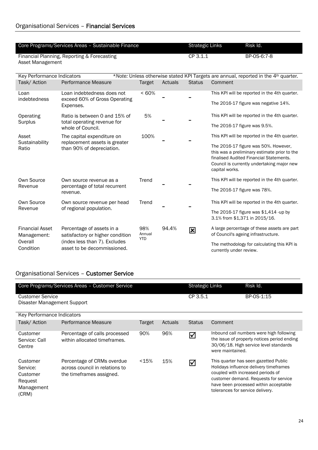|                            | Core Programs/Services Areas - Sustainable Finance |         |         | Strategic Links | Risk Id.                                                                                        |  |
|----------------------------|----------------------------------------------------|---------|---------|-----------------|-------------------------------------------------------------------------------------------------|--|
| Asset Management           | Financial Planning, Reporting & Forecasting        |         |         | CP 3.1.1        | BP-0S-6:7-8                                                                                     |  |
| Key Performance Indicators |                                                    |         |         |                 | *Note: Unless otherwise stated KPI Targets are annual, reported in the 4 <sup>th</sup> quarter. |  |
| Task/Action                | Performance Measure                                | Target  | Actuals | Status          | Comment                                                                                         |  |
| Loan                       | Loan indebtedness does not                         | $<60\%$ |         |                 | This KPI will be reported in the 4th quarter.                                                   |  |

| Loan<br>indebtedness                                          | Loan indebtedness does not<br>exceed 60% of Gross Operating<br>Expenses.                                                      | <60%                        |       |   | This KPI will be reported in the 4th quarter.<br>The 2016-17 figure was negative 14%.                                                                                                                                                            |
|---------------------------------------------------------------|-------------------------------------------------------------------------------------------------------------------------------|-----------------------------|-------|---|--------------------------------------------------------------------------------------------------------------------------------------------------------------------------------------------------------------------------------------------------|
| Operating<br>Surplus                                          | Ratio is between 0 and 15% of<br>total operating revenue for<br>whole of Council.                                             | 5%                          |       |   | This KPI will be reported in the 4th quarter.<br>The 2016-17 figure was 9.5%.                                                                                                                                                                    |
| Asset<br>Sustainability<br>Ratio                              | The capital expenditure on<br>replacement assets is greater<br>than 90% of depreciation.                                      | 100%                        |       |   | This KPI will be reported in the 4th quarter.<br>The 2016-17 figure was 50%. However,<br>this was a preliminary estimate prior to the<br>finalised Audited Financial Statements.<br>Council is currently undertaking major new<br>capital works. |
| Own Source<br>Revenue                                         | Own source revenue as a<br>percentage of total recurrent<br>revenue.                                                          | Trend                       |       |   | This KPI will be reported in the 4th quarter.<br>The 2016-17 figure was 78%.                                                                                                                                                                     |
| Own Source<br>Revenue                                         | Own source revenue per head<br>of regional population.                                                                        | Trend                       |       |   | This KPI will be reported in the 4th quarter.<br>The 2016-17 figure was \$1,414 -up by<br>3.1% from \$1,371 in 2015/16.                                                                                                                          |
| <b>Financial Asset</b><br>Management:<br>Overall<br>Condition | Percentage of assets in a<br>satisfactory or higher condition<br>(index less than 7). Excludes<br>asset to be decommissioned. | 98%<br>Annual<br><b>YTD</b> | 94.4% | 図 | A large percentage of these assets are part<br>of Council's ageing infrastructure.<br>The methodology for calculating this KPI is<br>currently under review.                                                                                     |

## Organisational Services – Customer Service

|                                                                    | Core Programs/Services Areas - Customer Service                                          |         |         | <b>Strategic Links</b> | Risk Id.                                                                                                                                                                                                                                   |
|--------------------------------------------------------------------|------------------------------------------------------------------------------------------|---------|---------|------------------------|--------------------------------------------------------------------------------------------------------------------------------------------------------------------------------------------------------------------------------------------|
| <b>Customer Service</b><br>Disaster Management Support             |                                                                                          |         |         | CP 3.5.1               | BP-0S-1:15                                                                                                                                                                                                                                 |
| Key Performance Indicators                                         |                                                                                          |         |         |                        |                                                                                                                                                                                                                                            |
| Task/Action                                                        | Performance Measure                                                                      | Target  | Actuals | <b>Status</b>          | Comment                                                                                                                                                                                                                                    |
| Customer<br>Service: Call<br>Centre                                | Percentage of calls processed<br>within allocated timeframes.                            | 90%     | 96%     | ☑                      | Inbound call numbers were high following<br>the issue of property notices period ending<br>30/06/18. High service level standards<br>were maintained.                                                                                      |
| Customer<br>Service:<br>Customer<br>Request<br>Management<br>(CRM) | Percentage of CRMs overdue<br>across council in relations to<br>the timeframes assigned. | $<$ 15% | 15%     | ☑                      | This quarter has seen gazetted Public<br>Holidays influence delivery timeframes<br>coupled with increased periods of<br>customer demand. Requests for service<br>have been processed within acceptable<br>tolerances for service delivery. |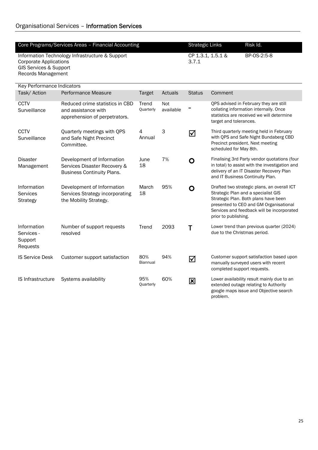Records Management

| Core Programs/Services Areas – Financial Accounting | Strategic Links   | <b>Risk Id.</b> |
|-----------------------------------------------------|-------------------|-----------------|
|                                                     |                   |                 |
|                                                     |                   |                 |
| Information Technology Infrastructure & Support     | CP 1.3.1. 1.5.1 & | BP-0S-2:5-8     |
|                                                     |                   |                 |
| Corporate Applications                              | 3.7.1             |                 |
| GIS Services & Support                              |                   |                 |
|                                                     |                   |                 |

| Key Performance Indicators                       |                                                                                                 |                        |                         |               |                                                                                                                                                                                                                                            |  |  |  |  |
|--------------------------------------------------|-------------------------------------------------------------------------------------------------|------------------------|-------------------------|---------------|--------------------------------------------------------------------------------------------------------------------------------------------------------------------------------------------------------------------------------------------|--|--|--|--|
| Task/Action                                      | Performance Measure                                                                             | <b>Target</b>          | Actuals                 | <b>Status</b> | Comment                                                                                                                                                                                                                                    |  |  |  |  |
| <b>CCTV</b><br>Surveillance                      | Reduced crime statistics in CBD<br>and assistance with<br>apprehension of perpetrators.         | Trend<br>Quarterly     | <b>Not</b><br>available |               | QPS advised in February they are still<br>collating information internally. Once<br>statistics are received we will determine<br>target and tolerances.                                                                                    |  |  |  |  |
| <b>CCTV</b><br>Surveillance                      | Quarterly meetings with QPS<br>and Safe Night Precinct<br>Committee.                            | 4<br>Annual            | 3                       | ☑             | Third quarterly meeting held in February<br>with QPS and Safe Night Bundaberg CBD<br>Precinct president. Next meeting<br>scheduled for May 8th.                                                                                            |  |  |  |  |
| <b>Disaster</b><br>Management                    | Development of Information<br>Services Disaster Recovery &<br><b>Business Continuity Plans.</b> | June<br>18             | 7%                      | O             | Finalising 3rd Party vendor quotations (four<br>in total) to assist with the investigation and<br>delivery of an IT Disaster Recovery Plan<br>and IT Business Continuity Plan.                                                             |  |  |  |  |
| Information<br>Services<br><b>Strategy</b>       | Development of Information<br>Services Strategy incorporating<br>the Mobility Strategy.         | March<br>18            | 95%                     | O             | Drafted two strategic plans, an overall ICT<br>Strategic Plan and a specialist GIS<br>Strategic Plan. Both plans have been<br>presented to CEO and GM Organisational<br>Services and feedback will be incorporated<br>prior to publishing. |  |  |  |  |
| Information<br>Services -<br>Support<br>Requests | Number of support requests<br>resolved                                                          | Trend                  | 2093                    |               | Lower trend than previous quarter (2024)<br>due to the Christmas period.                                                                                                                                                                   |  |  |  |  |
| <b>IS Service Desk</b>                           | Customer support satisfaction                                                                   | 80%<br><b>Biannual</b> | 94%                     | ☑             | Customer support satisfaction based upon<br>manually surveyed users with recent<br>completed support requests.                                                                                                                             |  |  |  |  |
| <b>IS Infrastructure</b>                         | Systems availability                                                                            | 95%<br>Quarterly       | 60%                     | 図             | Lower availability result mainly due to an<br>extended outage relating to Authority                                                                                                                                                        |  |  |  |  |

google maps issue and Objective search

problem.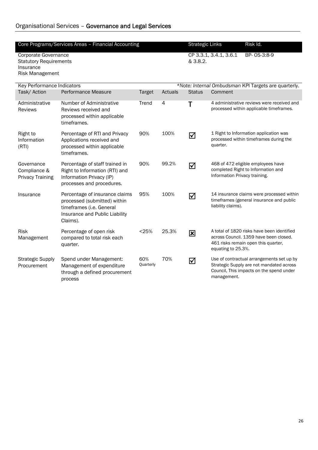### Organisational Services – Governance and Legal Services

|                                                                                              | Core Programs/Services Areas - Financial Accounting                                                                                      |                  |         | <b>Strategic Links</b>                               |                               | Risk Id.                                                                                                                          |  |  |
|----------------------------------------------------------------------------------------------|------------------------------------------------------------------------------------------------------------------------------------------|------------------|---------|------------------------------------------------------|-------------------------------|-----------------------------------------------------------------------------------------------------------------------------------|--|--|
| <b>Corporate Governance</b><br><b>Statutory Requirements</b><br>Insurance<br>Risk Management |                                                                                                                                          |                  |         | & 3.8.2.                                             | CP 3.3.1, 3.4.1, 3.6.1        | BP-0S-3:8-9                                                                                                                       |  |  |
| Key Performance Indicators                                                                   |                                                                                                                                          |                  |         | *Note: Internal Ombudsman KPI Targets are quarterly. |                               |                                                                                                                                   |  |  |
| Task/Action                                                                                  | Performance Measure                                                                                                                      | Target           | Actuals | <b>Status</b>                                        | Comment                       |                                                                                                                                   |  |  |
| Administrative<br><b>Reviews</b>                                                             | Number of Administrative<br>Reviews received and<br>processed within applicable<br>timeframes.                                           | Trend            | 4       | Т                                                    |                               | 4 administrative reviews were received and<br>processed within applicable timeframes.                                             |  |  |
| Right to<br>Information<br>(RTI)                                                             | Percentage of RTI and Privacy<br>Applications received and<br>processed within applicable<br>timeframes.                                 | 90%              | 100%    | ☑                                                    | quarter.                      | 1 Right to Information application was<br>processed within timeframes during the                                                  |  |  |
| Governance<br>Compliance &<br><b>Privacy Training</b>                                        | Percentage of staff trained in<br>Right to Information (RTI) and<br>Information Privacy (IP)<br>processes and procedures.                | 90%              | 99.2%   | ☑                                                    | Information Privacy training. | 468 of 472 eligible employees have<br>completed Right to Information and                                                          |  |  |
| Insurance                                                                                    | Percentage of insurance claims<br>processed (submitted) within<br>timeframes (i.e. General<br>Insurance and Public Liability<br>Claims). | 95%              | 100%    | ☑                                                    | liability claims).            | 14 insurance claims were processed within<br>timeframes (general insurance and public                                             |  |  |
| Risk<br>Management                                                                           | Percentage of open risk<br>compared to total risk each<br>quarter.                                                                       | < 25%            | 25.3%   | 図                                                    | equating to 25.3%.            | A total of 1820 risks have been identified<br>across Council. 1359 have been closed.<br>461 risks remain open this quarter,       |  |  |
| <b>Strategic Supply</b><br>Procurement                                                       | Spend under Management:<br>Management of expenditure<br>through a defined procurement<br>process                                         | 60%<br>Quarterly | 70%     | ☑                                                    | management.                   | Use of contractual arrangements set up by<br>Strategic Supply are not mandated across<br>Council, This impacts on the spend under |  |  |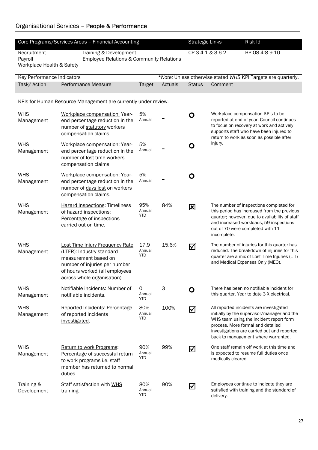### Organisational Services – People & Performance

|                            | Core Programs/Services Areas - Financial Accounting                                                                                                                                           |                             | Risk Id. |               |                                                                                                                                                                                                                                                              |  |  |  |  |
|----------------------------|-----------------------------------------------------------------------------------------------------------------------------------------------------------------------------------------------|-----------------------------|----------|---------------|--------------------------------------------------------------------------------------------------------------------------------------------------------------------------------------------------------------------------------------------------------------|--|--|--|--|
|                            |                                                                                                                                                                                               | <b>Strategic Links</b>      |          |               |                                                                                                                                                                                                                                                              |  |  |  |  |
| Recruitment<br>Payroll     | Training & Development<br>Employee Relations & Community Relations                                                                                                                            |                             |          |               | CP 3.4.1 & 3.6.2<br>BP-0S-4:8-9-10                                                                                                                                                                                                                           |  |  |  |  |
| Workplace Health & Safety  |                                                                                                                                                                                               |                             |          |               |                                                                                                                                                                                                                                                              |  |  |  |  |
|                            |                                                                                                                                                                                               |                             |          |               |                                                                                                                                                                                                                                                              |  |  |  |  |
| Key Performance Indicators |                                                                                                                                                                                               |                             |          |               | *Note: Unless otherwise stated WHS KPI Targets are quarterly.                                                                                                                                                                                                |  |  |  |  |
| Task/ Action               | Performance Measure                                                                                                                                                                           | Target                      | Actuals  | <b>Status</b> | Comment                                                                                                                                                                                                                                                      |  |  |  |  |
|                            | KPIs for Human Resource Management are currently under review.                                                                                                                                |                             |          |               |                                                                                                                                                                                                                                                              |  |  |  |  |
| <b>WHS</b><br>Management   | Workplace compensation: Year-<br>end percentage reduction in the<br>number of statutory workers<br>compensation claims.                                                                       | 5%<br>Annual                |          | O             | Workplace compensation KPIs to be<br>reported at end of year. Council continues<br>to focus on recovery at work and actively<br>supports staff who have been injured to<br>return to work as soon as possible after                                          |  |  |  |  |
| <b>WHS</b><br>Management   | Workplace compensation: Year-<br>end percentage reduction in the<br>number of lost-time workers<br>compensation claims                                                                        | 5%<br>Annual                |          | O             | injury.                                                                                                                                                                                                                                                      |  |  |  |  |
| <b>WHS</b><br>Management   | Workplace compensation: Year-<br>end percentage reduction in the<br>number of days lost on workers<br>compensation claims.                                                                    | 5%<br>Annual                |          | O             |                                                                                                                                                                                                                                                              |  |  |  |  |
| <b>WHS</b><br>Management   | <b>Hazard Inspections: Timeliness</b><br>of hazard inspections:<br>Percentage of inspections<br>carried out on time.                                                                          | 95%<br>Annual<br>YTD        | 84%      | 図             | The number of inspections completed for<br>this period has increased from the previous<br>quarter; however, due to availability of staff<br>and increased workloads, 59 inspections<br>out of 70 were completed with 11<br>incomplete.                       |  |  |  |  |
| <b>WHS</b><br>Management   | <b>Lost Time Injury Frequency Rate</b><br>(LTFR): Industry standard<br>measurement based on<br>number of injuries per number<br>of hours worked (all employees<br>across whole organisation). | 17.9<br>Annual<br>YTD       | 15.6%    | ☑             | The number of injuries for this quarter has<br>reduced. The breakdown of injuries for this<br>quarter are a mix of Lost Time Injuries (LTI)<br>and Medical Expenses Only (MEO).                                                                              |  |  |  |  |
| <b>WHS</b><br>Management   | Notifiable incidents: Number of<br>notifiable incidents.                                                                                                                                      | 0<br>Annual<br>YTD          | 3        | O             | There has been no notifiable incident for<br>this quarter. Year to date 3 X electrical.                                                                                                                                                                      |  |  |  |  |
| <b>WHS</b><br>Management   | <b>Reported Incidents: Percentage</b><br>of reported incidents<br>investigated.                                                                                                               | 80%<br>Annual<br><b>YTD</b> | 100%     | ☑             | All reported incidents are investigated<br>initially by the supervisor/manager and the<br>WHS team using the incident report form<br>process. More formal and detailed<br>investigations are carried out and reported<br>back to management where warranted. |  |  |  |  |
| <b>WHS</b><br>Management   | Return to work Programs:<br>Percentage of successful return<br>to work programs i.e. staff<br>member has returned to normal<br>duties.                                                        | 90%<br>Annual<br>YTD        | 99%      | ☑             | One staff remain off work at this time and<br>is expected to resume full duties once<br>medically cleared.                                                                                                                                                   |  |  |  |  |
| Training &<br>Development  | Staff satisfaction with WHS<br>training.                                                                                                                                                      | 80%<br>Annual<br>YTD        | 90%      | ☑             | Employees continue to indicate they are<br>satisfied with training and the standard of<br>delivery.                                                                                                                                                          |  |  |  |  |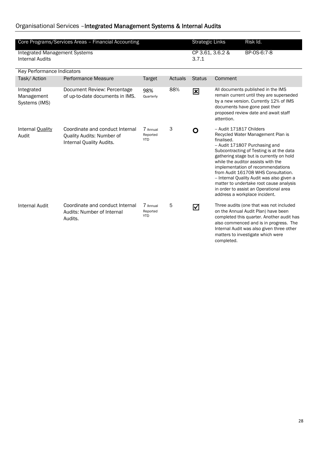#### Organisational Services –Integrated Management Systems & Internal Audits

| Core Programs/Services Areas - Financial Accounting            |                                                                                          |                                    |         |               | <b>Strategic Links</b>                 | Risk Id.                                                                                                                                                                                                                                                                                                                                                                                                                                          |
|----------------------------------------------------------------|------------------------------------------------------------------------------------------|------------------------------------|---------|---------------|----------------------------------------|---------------------------------------------------------------------------------------------------------------------------------------------------------------------------------------------------------------------------------------------------------------------------------------------------------------------------------------------------------------------------------------------------------------------------------------------------|
| <b>Integrated Management Systems</b><br><b>Internal Audits</b> |                                                                                          |                                    |         |               | CP 3.61, 3.6.2 &                       | BP-0S-6:7-8                                                                                                                                                                                                                                                                                                                                                                                                                                       |
| Key Performance Indicators                                     |                                                                                          |                                    |         |               |                                        |                                                                                                                                                                                                                                                                                                                                                                                                                                                   |
| Task/Action                                                    | <b>Performance Measure</b>                                                               | Target                             | Actuals | <b>Status</b> | Comment                                |                                                                                                                                                                                                                                                                                                                                                                                                                                                   |
| Integrated<br>Management<br>Systems (IMS)                      | Document Review: Percentage<br>of up-to-date documents in IMS.                           | 98%<br>Quarterly                   | 88%     | 区             | attention.                             | All documents published in the IMS<br>remain current until they are superseded<br>by a new version. Currently 12% of IMS<br>documents have gone past their<br>proposed review date and await staff                                                                                                                                                                                                                                                |
| Internal Quality<br>Audit                                      | Coordinate and conduct Internal<br>Quality Audits: Number of<br>Internal Quality Audits. | 7 Annual<br>Reported<br><b>YTD</b> | 3       | O             | -- Audit 171817 Childers<br>finalised. | Recycled Water Management Plan is<br>-- Audit 171807 Purchasing and<br>Subcontracting of Testing is at the data<br>gathering stage but is currently on hold<br>while the auditor assists with the<br>implementation of recommendations<br>from Audit 161708 WHS Consultation.<br>-- Internal Quality Audit was also given a<br>matter to undertake root cause analysis<br>in order to assist an Operational area<br>address a workplace incident. |
| <b>Internal Audit</b>                                          | Coordinate and conduct Internal<br>Audits: Number of Internal<br>Audits.                 | 7 Annual<br>Reported<br><b>YTD</b> | 5       | ☑             | completed.                             | Three audits (one that was not included<br>on the Annual Audit Plan) have been<br>completed this quarter. Another audit has<br>also commenced and is in progress. The<br>Internal Audit was also given three other<br>matters to investigate which were                                                                                                                                                                                           |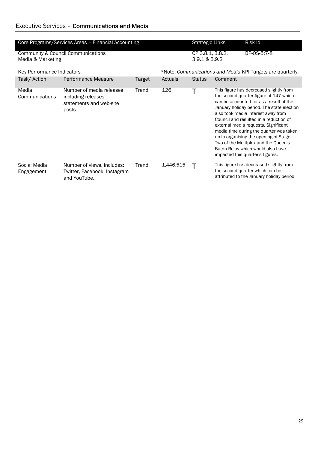| Core Programs/Services Areas - Financial Accounting |                                                                                      |        |                                                            |                  | <b>Strategic Links</b> | Risk Id.                                                                                                                                                                                                                                                                                                                                                                                                                                                                                                |  |
|-----------------------------------------------------|--------------------------------------------------------------------------------------|--------|------------------------------------------------------------|------------------|------------------------|---------------------------------------------------------------------------------------------------------------------------------------------------------------------------------------------------------------------------------------------------------------------------------------------------------------------------------------------------------------------------------------------------------------------------------------------------------------------------------------------------------|--|
|                                                     | <b>Community &amp; Council Communications</b>                                        |        |                                                            | CP 3.8.1, 3.8.2, |                        | BP-0S-5:7-8                                                                                                                                                                                                                                                                                                                                                                                                                                                                                             |  |
| Media & Marketing                                   |                                                                                      |        |                                                            | 3.9.1 & 3.9.2    |                        |                                                                                                                                                                                                                                                                                                                                                                                                                                                                                                         |  |
|                                                     |                                                                                      |        |                                                            |                  |                        |                                                                                                                                                                                                                                                                                                                                                                                                                                                                                                         |  |
| Key Performance Indicators                          |                                                                                      |        | *Note: Communications and Media KPI Targets are quarterly. |                  |                        |                                                                                                                                                                                                                                                                                                                                                                                                                                                                                                         |  |
| Task/Action                                         | Performance Measure                                                                  | Target | Actuals                                                    | <b>Status</b>    | Comment                |                                                                                                                                                                                                                                                                                                                                                                                                                                                                                                         |  |
| Media<br>Communications                             | Number of media releases<br>including releases,<br>statements and web-site<br>posts. | Trend  | 126                                                        |                  |                        | This figure has decreased slightly from<br>the second quarter figure of 147 which<br>can be accounted for as a result of the<br>January holiday period. The state election<br>also took media interest away from<br>Council and resulted in a reduction of<br>external media requests. Significant<br>media time during the quarter was taken<br>up in organising the opening of Stage<br>Two of the Mulitplex and the Queen's<br>Baton Relay which would also have<br>impacted this quarter's figures. |  |
| Social Media<br>Engagement                          | Number of views, includes:<br>Twitter, Facebook, Instagram<br>and YouTube.           | Trend  | 1,446,515                                                  |                  |                        | This figure has decreased slightly from<br>the second quarter which can be<br>attributed to the January holiday period.                                                                                                                                                                                                                                                                                                                                                                                 |  |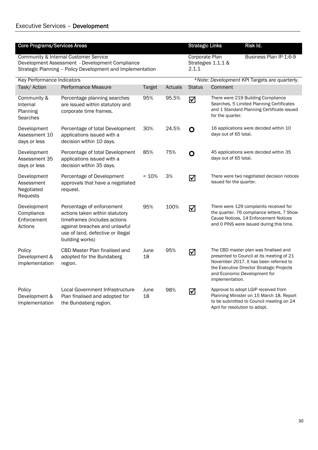| <b>Core Programs/Services Areas</b>                                                                                                                    |                                                     |                                                                                                                                                                                      |               |                                                                                | Risk Id.<br><b>Strategic Links</b>            |                                |                                                                                                                                                                                                           |  |  |
|--------------------------------------------------------------------------------------------------------------------------------------------------------|-----------------------------------------------------|--------------------------------------------------------------------------------------------------------------------------------------------------------------------------------------|---------------|--------------------------------------------------------------------------------|-----------------------------------------------|--------------------------------|-----------------------------------------------------------------------------------------------------------------------------------------------------------------------------------------------------------|--|--|
| Community & Internal Customer Service<br>Development Assessment - Development Compliance<br>Strategic Planning - Policy Development and Implementation |                                                     |                                                                                                                                                                                      |               | <b>Corporate Plan</b><br>Business Plan IP-1:6-9<br>Strategies 1.1.1 &<br>2.1.1 |                                               |                                |                                                                                                                                                                                                           |  |  |
|                                                                                                                                                        | <b>Key Performance Indicators</b>                   |                                                                                                                                                                                      |               |                                                                                | *Note: Development KPI Targets are quarterly. |                                |                                                                                                                                                                                                           |  |  |
|                                                                                                                                                        | Task/ Action                                        | Performance Measure                                                                                                                                                                  | <b>Target</b> | Actuals                                                                        | <b>Status</b>                                 | Comment                        |                                                                                                                                                                                                           |  |  |
|                                                                                                                                                        | Community &<br>Internal<br>Planning<br>Searches     | Percentage planning searches<br>are issued within statutory and<br>corporate time frames.                                                                                            | 95%           | 95.5%                                                                          | $\Delta$                                      | for the quarter.               | There were 219 Building Compliance<br>Searches, 5 Limited Planning Certificates<br>and 1 Standard Planning Certificate issued                                                                             |  |  |
|                                                                                                                                                        | Development<br>Assessment 10<br>days or less        | Percentage of total Development<br>applications issued with a<br>decision within 10 days.                                                                                            | 30%           | 24.5%                                                                          | $\mathbf O$                                   | days out of 65 total.          | 16 applications were decided within 10                                                                                                                                                                    |  |  |
|                                                                                                                                                        | Development<br>Assessment 35<br>days or less        | Percentage of total Development<br>applications issued with a<br>decision within 35 days.                                                                                            | 85%           | 75%                                                                            | $\mathbf O$                                   | days out of 65 total.          | 45 applications were decided within 35                                                                                                                                                                    |  |  |
|                                                                                                                                                        | Development<br>Assessment<br>Negotiated<br>Requests | Percentage of Development<br>approvals that have a negotiated<br>request.                                                                                                            | < 10%         | 3%                                                                             | ☑                                             | issued for the quarter.        | There were two negotiated decision notices                                                                                                                                                                |  |  |
|                                                                                                                                                        | Development<br>Compliance<br>Enforcement<br>Actions | Percentage of enforcement<br>actions taken within statutory<br>timeframes (includes actions<br>against breaches and unlawful<br>use of land, defective or illegal<br>building works) | 95%           | 100%                                                                           | ☑                                             |                                | There were 129 complaints received for<br>the quarter. 76 compliance letters, 7 Show<br>Cause Notices, 14 Enforcement Notices<br>and 0 PINS were issued during this time.                                 |  |  |
|                                                                                                                                                        | Policy<br>Development &<br>Implementation           | CBD Master Plan finalised and<br>adopted for the Bundaberg<br>region.                                                                                                                | June<br>18    | 95%                                                                            | ☑                                             | implementation.                | The CBD master plan was finalised and<br>presented to Council at its meeting of 21<br>November 2017. It has been referred to<br>the Executive Director Strategic Projects<br>and Economic Development for |  |  |
|                                                                                                                                                        | Policy<br>Development &<br>Implementation           | Local Government Infrastructure<br>Plan finalised and adopted for<br>the Bundaberg region.                                                                                           | June<br>18    | 98%                                                                            | ☑                                             | April for resolution to adopt. | Approval to adopt LGIP received from<br>Planning Minister on 15 March 18. Report<br>to be submitted to Council meeting on 24                                                                              |  |  |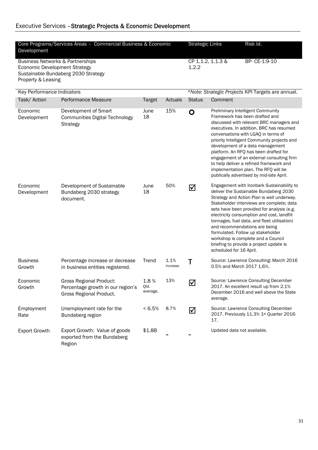### Executive Services –Strategic Projects & Economic Development

| Core Programs/Services Areas - Commercial Business & Economic<br>Development                                                                     |                                                                                                |                          |                  |                                                   | <b>Strategic Links</b>      | Risk Id.                                                                                                                                                                                                                                                                                                                                                                                                                                                                                                   |  |  |
|--------------------------------------------------------------------------------------------------------------------------------------------------|------------------------------------------------------------------------------------------------|--------------------------|------------------|---------------------------------------------------|-----------------------------|------------------------------------------------------------------------------------------------------------------------------------------------------------------------------------------------------------------------------------------------------------------------------------------------------------------------------------------------------------------------------------------------------------------------------------------------------------------------------------------------------------|--|--|
| <b>Business Networks &amp; Partnerships</b><br><b>Economic Development Strategy</b><br>Sustainable Bundaberg 2030 Strategy<br>Property & Leasing |                                                                                                |                          |                  | CP 1.1.2, 1.1.3 &<br>1.2.2                        |                             | BP- CE-1:9-10                                                                                                                                                                                                                                                                                                                                                                                                                                                                                              |  |  |
| Key Performance Indicators                                                                                                                       |                                                                                                |                          |                  | *Note: Strategic Projects KPI Targets are annual. |                             |                                                                                                                                                                                                                                                                                                                                                                                                                                                                                                            |  |  |
| Task/ Action                                                                                                                                     | Performance Measure                                                                            | <b>Target</b>            | Actuals          | <b>Status</b>                                     | Comment                     |                                                                                                                                                                                                                                                                                                                                                                                                                                                                                                            |  |  |
| Economic<br>Development                                                                                                                          | Development of Smart<br><b>Communities Digital Technology</b><br>Strategy                      | June<br>18               | 15%              | O                                                 |                             | Preliminary Intelligent Community<br>Framework has been drafted and<br>discussed with relevant BRC managers and<br>executives. In addition, BRC has resumed<br>conversations with LGAQ in terms of<br>priority Intelligent Community projects and<br>development of a data management<br>platform. An RFQ has been drafted for<br>engagement of an external consulting firm<br>to help deliver a refined framework and<br>implementation plan. The RFQ will be<br>publically advertised by mid-late April. |  |  |
| Economic<br>Development                                                                                                                          | Development of Sustainable<br>Bundaberg 2030 strategy<br>document.                             | June<br>18               | 50%              | ☑                                                 | scheduled for 16 April.     | Engagement with Ironbark Sustainability to<br>deliver the Sustainable Bundaberg 2030<br>Strategy and Action Plan is well underway.<br>Stakeholder interviews are complete; data<br>sets have been provided for analysis (e.g.<br>electricity consumption and cost, landfill<br>tonnages, fuel data, and fleet utilisation)<br>and recommendations are being<br>formulated. Follow up stakeholder<br>workshop is complete and a Council<br>briefing to provide a project update is                          |  |  |
| <b>Business</b><br>Growth                                                                                                                        | Percentage increase or decrease<br>in business entities registered.                            | Trend                    | 1.1%<br>increase | Τ                                                 | 0.5% and March 2017 1.6%.   | Source: Lawrence Consulting: March 2016                                                                                                                                                                                                                                                                                                                                                                                                                                                                    |  |  |
| Economic<br>Growth                                                                                                                               | <b>Gross Regional Product:</b><br>Percentage growth in our region's<br>Gross Regional Product. | 1.8%<br>Qld.<br>average. | 13%              | ☑                                                 | average.                    | Source: Lawrence Consulting December<br>2017. An excellent result up from 2.1%<br>December 2016 and well above the State                                                                                                                                                                                                                                                                                                                                                                                   |  |  |
| Employment<br>Rate                                                                                                                               | Unemployment rate for the<br>Bundaberg region                                                  | $< 6.5\%$                | 8.7%             | ☑                                                 | 17.                         | Source: Lawrence Consulting December<br>2017. Previously 11.3% 1st Quarter 2016-                                                                                                                                                                                                                                                                                                                                                                                                                           |  |  |
| <b>Export Growth</b>                                                                                                                             | Export Growth: Value of goods<br>exported from the Bundaberg<br>Region                         | \$1.8B                   |                  |                                                   | Updated data not available. |                                                                                                                                                                                                                                                                                                                                                                                                                                                                                                            |  |  |